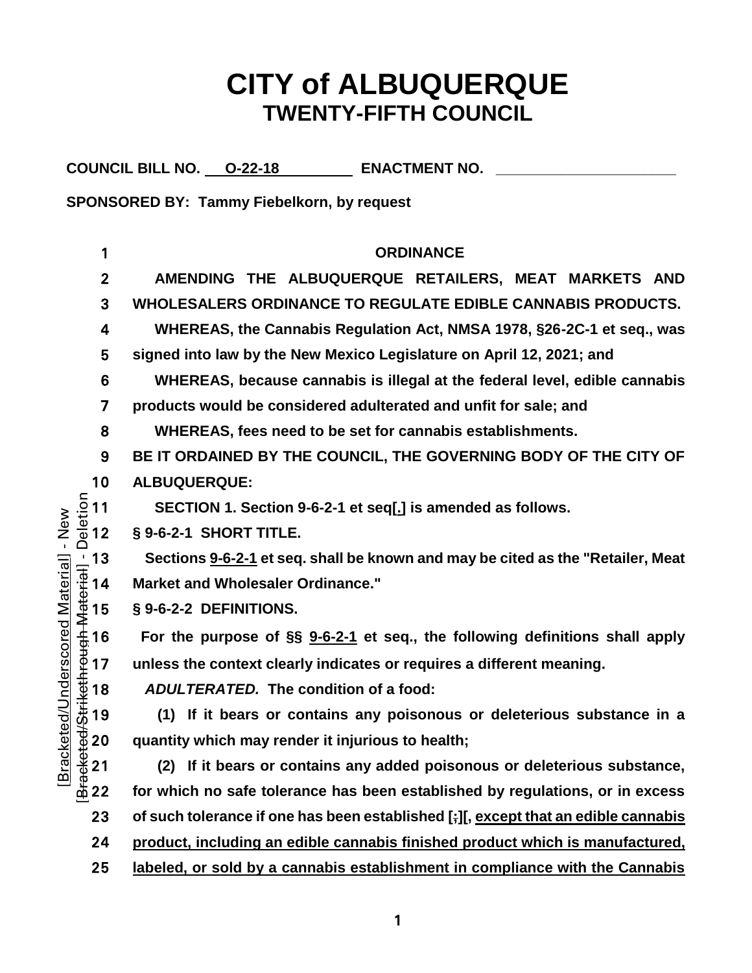# **CITY of ALBUQUERQUE TWENTY-FIFTH COUNCIL**

COUNCIL BILL NO. **O-22-18** ENACTMENT NO.

**SPONSORED BY: Tammy Fiebelkorn, by request**

| 1                                                                                             | <b>ORDINANCE</b>                                                                   |
|-----------------------------------------------------------------------------------------------|------------------------------------------------------------------------------------|
| $\mathbf{2}$                                                                                  | AMENDING THE ALBUQUERQUE RETAILERS, MEAT MARKETS AND                               |
| 3                                                                                             | <b>WHOLESALERS ORDINANCE TO REGULATE EDIBLE CANNABIS PRODUCTS.</b>                 |
| 4                                                                                             | WHEREAS, the Cannabis Regulation Act, NMSA 1978, §26-2C-1 et seq., was             |
| 5                                                                                             | signed into law by the New Mexico Legislature on April 12, 2021; and               |
| 6                                                                                             | WHEREAS, because cannabis is illegal at the federal level, edible cannabis         |
| 7                                                                                             | products would be considered adulterated and unfit for sale; and                   |
| 8                                                                                             | WHEREAS, fees need to be set for cannabis establishments.                          |
| 9                                                                                             | BE IT ORDAINED BY THE COUNCIL, THE GOVERNING BODY OF THE CITY OF                   |
| 10                                                                                            | <b>ALBUQUERQUE:</b>                                                                |
|                                                                                               | SECTION 1. Section 9-6-2-1 et seq[.] is amended as follows.                        |
|                                                                                               | § 9-6-2-1 SHORT TITLE.                                                             |
|                                                                                               | Sections 9-6-2-1 et seq. shall be known and may be cited as the "Retailer, Meat    |
|                                                                                               | <b>Market and Wholesaler Ordinance."</b>                                           |
|                                                                                               | § 9-6-2-2 DEFINITIONS.                                                             |
| LOJDIDIO     Teltater 1 1 2 3 4 5 6 7 8 9 2 2 1 2 3 4 5 7 8 9 2 2 1 2 3 4 5 7 8 9 2 1 2 2 2 1 | For the purpose of §§ 9-6-2-1 et seq., the following definitions shall apply       |
|                                                                                               | unless the context clearly indicates or requires a different meaning.              |
|                                                                                               | <b>ADULTERATED.</b> The condition of a food:                                       |
|                                                                                               | (1) If it bears or contains any poisonous or deleterious substance in a            |
|                                                                                               | quantity which may render it injurious to health;                                  |
|                                                                                               | If it bears or contains any added poisonous or deleterious substance,<br>(2)       |
| ሕ 22                                                                                          | for which no safe tolerance has been established by regulations, or in excess      |
| 23                                                                                            | of such tolerance if one has been established [-][, except that an edible cannabis |
| 24                                                                                            | product, including an edible cannabis finished product which is manufactured,      |
| 25                                                                                            | labeled, or sold by a cannabis establishment in compliance with the Cannabis       |
|                                                                                               |                                                                                    |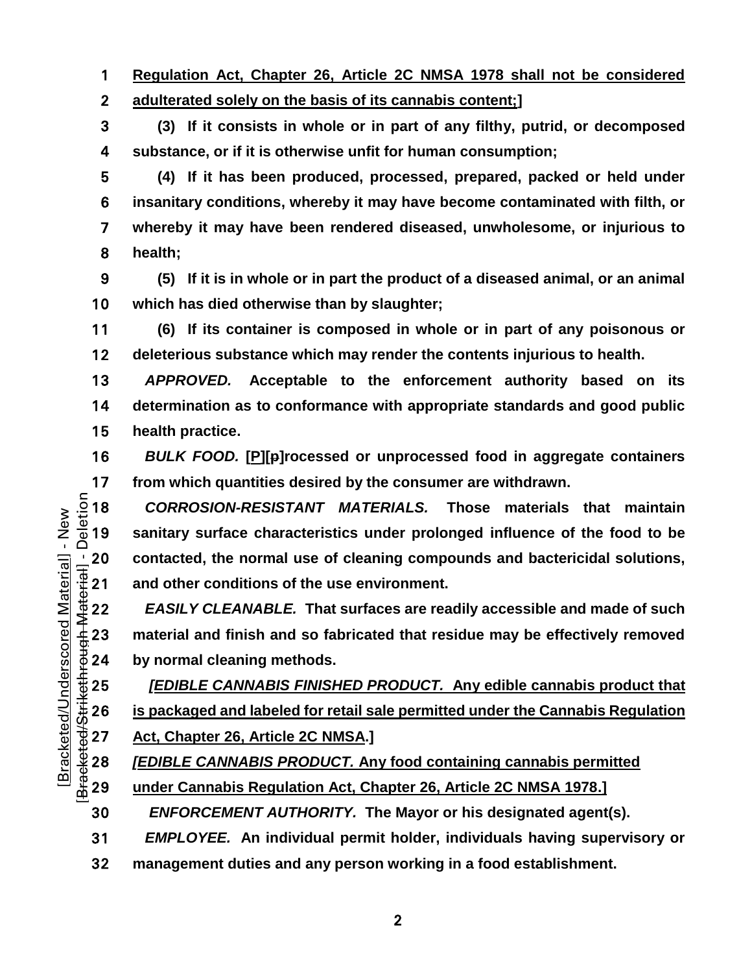**Regulation Act, Chapter 26, Article 2C NMSA 1978 shall not be considered adulterated solely on the basis of its cannabis content;]**

**(3) If it consists in whole or in part of any filthy, putrid, or decomposed substance, or if it is otherwise unfit for human consumption;**

**(4) If it has been produced, processed, prepared, packed or held under insanitary conditions, whereby it may have become contaminated with filth, or whereby it may have been rendered diseased, unwholesome, or injurious to health;**

**(5) If it is in whole or in part the product of a diseased animal, or an animal which has died otherwise than by slaughter;**

**(6) If its container is composed in whole or in part of any poisonous or deleterious substance which may render the contents injurious to health.**

*APPROVED.* **Acceptable to the enforcement authority based on its determination as to conformance with appropriate standards and good public health practice.**

*BULK FOOD.* **[P][p]rocessed or unprocessed food in aggregate containers** 

17 from which quantities desired by the consumer are withdrawn.<br>  $\frac{5}{10}$  18 *CORROSION-RESISTANT MATERIALS.* Those materials<br>  $\frac{1}{10}$  19 sanitary surface characteristics under prolonged influence of *CORROSION-RESISTANT MATERIALS.* **Those materials that maintain**  sanitary surface characteristics under prolonged influence of the food to be and other conditions of the use environment.

20 contacted, the normal use of cleaning compounds and bactericidal solutions,<br>  $\frac{1}{3}$  21 and other conditions of the use environment.<br>
22 *EASILY CLEANABLE*. That surfaces are readily accessible and made of such<br>  $\frac{$ *EASILY CLEANABLE.* **That surfaces are readily accessible and made of such**  material and finish and so fabricated that residue may be effectively removed by normal cleaning methods.

<del>EDIBLE CANNABIS FINISHED PRODUCT.</del> Any edible cannabis product that<br>
⇒≚ 26 is packaged and labeled for retail sale permitted under the Cannabis Regulation<br>
⇒ 27 Act, Chapter 26, Article 2C NMSA.]<br>
⇒ 28 *[EDIBLE CANNABIS* **is packaged and labeled for retail sale permitted under the Cannabis Regulation**  Act, Chapter 26, Article 2C NMSA.]

*[EDIBLE CANNABIS PRODUCT.* **Any food containing cannabis permitted** 

**under Cannabis Regulation Act, Chapter 26, Article 2C NMSA 1978.]**

*ENFORCEMENT AUTHORITY.* **The Mayor or his designated agent(s).**

*EMPLOYEE.* **An individual permit holder, individuals having supervisory or** 

**management duties and any person working in a food establishment.**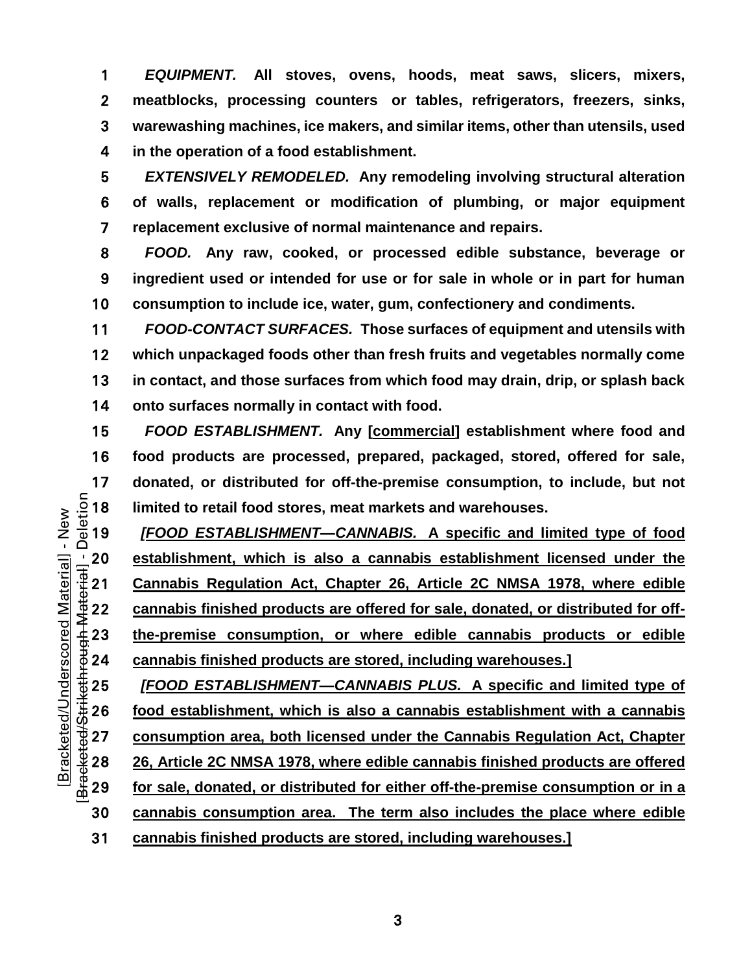*EQUIPMENT.* **All stoves, ovens, hoods, meat saws, slicers, mixers, meatblocks, processing counters or tables, refrigerators, freezers, sinks, warewashing machines, ice makers, and similar items, other than utensils, used in the operation of a food establishment.**

*EXTENSIVELY REMODELED.* **Any remodeling involving structural alteration of walls, replacement or modification of plumbing, or major equipment replacement exclusive of normal maintenance and repairs.**

*FOOD.* **Any raw, cooked, or processed edible substance, beverage or ingredient used or intended for use or for sale in whole or in part for human consumption to include ice, water, gum, confectionery and condiments.**

*FOOD-CONTACT SURFACES.* **Those surfaces of equipment and utensils with which unpackaged foods other than fresh fruits and vegetables normally come in contact, and those surfaces from which food may drain, drip, or splash back onto surfaces normally in contact with food.**

*FOOD ESTABLISHMENT.* **Any [commercial] establishment where food and food products are processed, prepared, packaged, stored, offered for sale, donated, or distributed for off-the-premise consumption, to include, but not limited to retail food stores, meat markets and warehouses.** 

*[FOOD ESTABLISHMENT—CANNABIS.* **A specific and limited type of food**  establishment, which is also a cannabis establishment licensed under the<br>  $\frac{1}{2}$  21 Cannabis Regulation Act, Chapter 26, Article 2C NMSA 1978, where edible<br>
cannabis finished products are offered for sale, donated, or d **Cannabis Regulation Act, Chapter 26, Article 2C NMSA 1978, where edible cannabis finished products are offered for sale, donated, or distributed for off-the-premise consumption, or where edible cannabis products or edible cannabis finished products are stored, including warehouses.]** 

EXTRIBLISHMENT—CANNABIS PLUS. A specific and limited type of<br>  $\frac{4}{30}$  26 **food establishment, which is also a cannabis establishment with a cannabis**<br>
26 **consumption area, both licensed under the Cannabis Regulation Ac food establishment, which is also a cannabis establishment with a cannabis consumption area, both licensed under the Cannabis Regulation Act, Chapter 26, Article 2C NMSA 1978, where edible cannabis finished products are offered for sale, donated, or distributed for either off-the-premise consumption or in a cannabis consumption area. The term also includes the place where edible cannabis finished products are stored, including warehouses.]**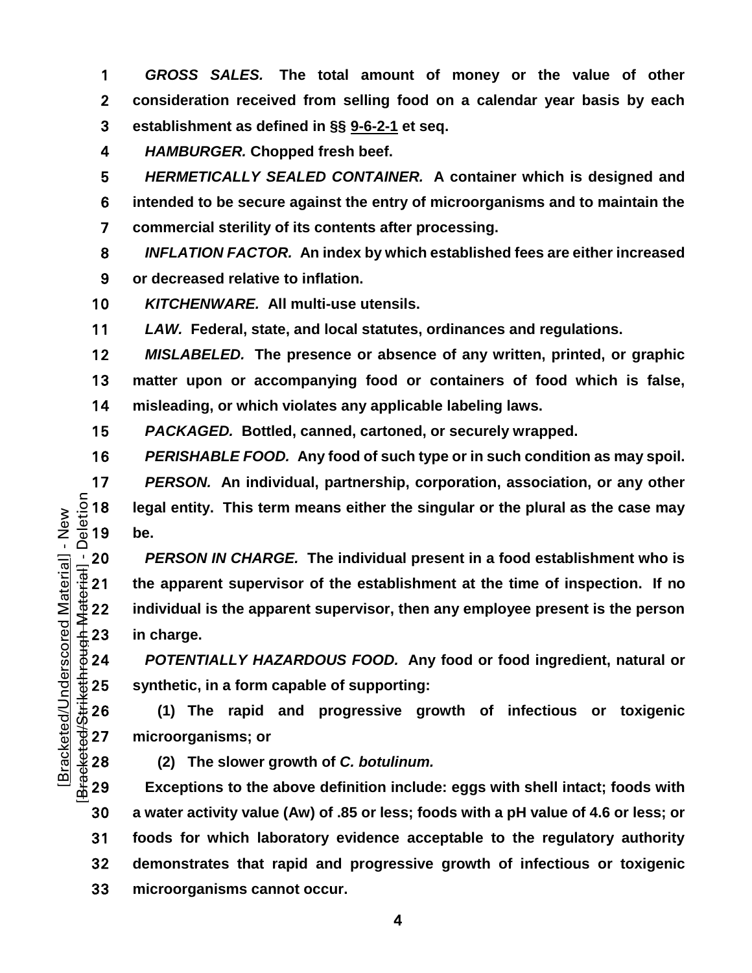*GROSS SALES.* **The total amount of money or the value of other consideration received from selling food on a calendar year basis by each establishment as defined in §§ [9-6-2-1](https://codelibrary.amlegal.com/codes/albuquerque/latest/albuquerque_nm/0-0-0-11948#JD_9-6-2-1) et seq.**

*HAMBURGER.* **Chopped fresh beef.**

*HERMETICALLY SEALED CONTAINER.* **A container which is designed and intended to be secure against the entry of microorganisms and to maintain the commercial sterility of its contents after processing.**

*INFLATION FACTOR.* **An index by which established fees are either increased or decreased relative to inflation.**

*KITCHENWARE.* **All multi-use utensils.**

*LAW.* **Federal, state, and local statutes, ordinances and regulations.**

*MISLABELED.* **The presence or absence of any written, printed, or graphic matter upon or accompanying food or containers of food which is false, misleading, or which violates any applicable labeling laws.**

*PACKAGED.* **Bottled, canned, cartoned, or securely wrapped.**

*PERISHABLE FOOD.* **Any food of such type or in such condition as may spoil.**

*PERSON.* **An individual, partnership, corporation, association, or any other legal entity. This term means either the singular or the plural as the case may**   $\frac{1}{2}$  18 lega<br> $\frac{1}{2}$  19 be.

**PERSON IN CHARGE.** The individual present in a food establishment who is<br>  $\frac{1}{3}$  and the apparent supervisor of the establishment at the time of inspection. If no<br>  $\frac{1}{3}$  and individual is the apparent supervisor, **the apparent supervisor of the establishment at the time of inspection. If no individual is the apparent supervisor, then any employee present is the person**  in charge.

*POTENTIALLY HAZARDOUS FOOD.* **Any food or food ingredient, natural or** 

 $\begin{array}{ll}\n\text{\#} 25 & \text{synthetic, in a form capable of supporting:}\n\text{\#} 26 & \text{(1) The rapid and progressive gr-} \n\text{\#} 27 & \text{microorganisms; or}\n\text{\#} 28 & \text{(2) The slower growth of } C. \text{ *botulinum.*\n\end{array}$ **(1) The rapid and progressive growth of infectious or toxigenic microorganisms; or**

**(2) The slower growth of** *C. botulinum.*

**Exceptions to the above definition include: eggs with shell intact; foods with a water activity value (Aw) of .85 or less; foods with a pH value of 4.6 or less; or foods for which laboratory evidence acceptable to the regulatory authority demonstrates that rapid and progressive growth of infectious or toxigenic microorganisms cannot occur.**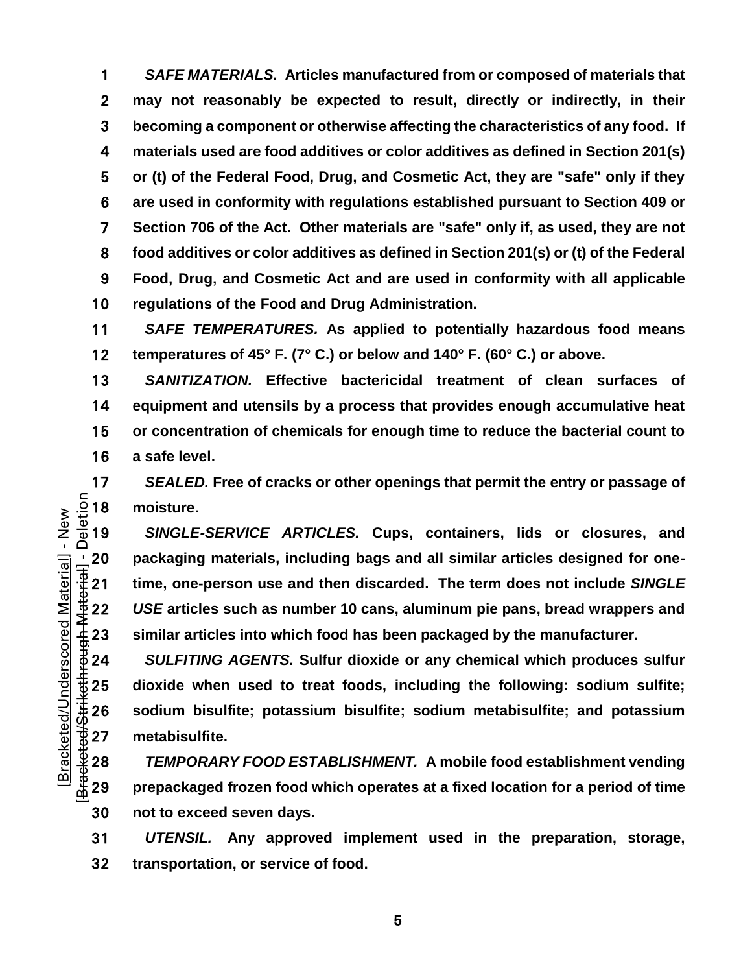*SAFE MATERIALS.* **Articles manufactured from or composed of materials that may not reasonably be expected to result, directly or indirectly, in their becoming a component or otherwise affecting the characteristics of any food. If materials used are food additives or color additives as defined in Section 201(s) or (t) of the Federal Food, Drug, and Cosmetic Act, they are "safe" only if they are used in conformity with regulations established pursuant to Section 409 or Section 706 of the Act. Other materials are "safe" only if, as used, they are not food additives or color additives as defined in Section 201(s) or (t) of the Federal Food, Drug, and Cosmetic Act and are used in conformity with all applicable regulations of the Food and Drug Administration.**

*SAFE TEMPERATURES.* **As applied to potentially hazardous food means temperatures of 45° F. (7° C.) or below and 140° F. (60° C.) or above.**

*SANITIZATION.* **Effective bactericidal treatment of clean surfaces of equipment and utensils by a process that provides enough accumulative heat or concentration of chemicals for enough time to reduce the bacterial count to a safe level.**

**SEALED.** Free of cracks or other openings that permit the entry or passage of<br>  $\frac{5}{8}$  18 moisture.<br> **SINGLE-SERVICE ARTICLES.** Cups, containers, lids or closures, and moisture.

*SINGLE-SERVICE ARTICLES.* **Cups, containers, lids or closures, and**  packaging materials, including bags and all similar articles designed for one-<br>  $\frac{1}{2}$  21 time, one-person use and then discarded. The term does not include *SINGLE*<br>  $\frac{1}{2}$  22 USE articles such as number 10 cans, a **time, one-person use and then discarded. The term does not include** *SINGLE USE* **articles such as number 10 cans, aluminum pie pans, bread wrappers and similar articles into which food has been packaged by the manufacturer.**

*SULFITING AGENTS.* **Sulfur dioxide or any chemical which produces sulfur**  Unity 25 dioxide when used to treat foods, including the following: sodium sulfite;<br>
26 sodium bisulfite; potassium bisulfite; sodium metabisulfite; and potassium<br>
27 metabisulfite.<br>
28 TEMPORARY FOOD ESTABLISHMENT. A mob **sodium bisulfite; potassium bisulfite; sodium metabisulfite; and potassium metabisulfite.**

*TEMPORARY FOOD ESTABLISHMENT.* **A mobile food establishment vending prepackaged frozen food which operates at a fixed location for a period of time not to exceed seven days.**

*UTENSIL.* **Any approved implement used in the preparation, storage, transportation, or service of food.**

 $\sim$  5  $\sim$  5  $\sim$  5  $\sim$  5  $\sim$  5  $\sim$  5  $\sim$  5  $\sim$  5  $\sim$  5  $\sim$  5  $\sim$  5  $\sim$  5  $\sim$  5  $\sim$  5  $\sim$  5  $\sim$  5  $\sim$  5  $\sim$  5  $\sim$  5  $\sim$  5  $\sim$  5  $\sim$  5  $\sim$  5  $\sim$  5  $\sim$  5  $\sim$  5  $\sim$  5  $\sim$  5  $\sim$  5  $\sim$  5  $\sim$  5  $\sim$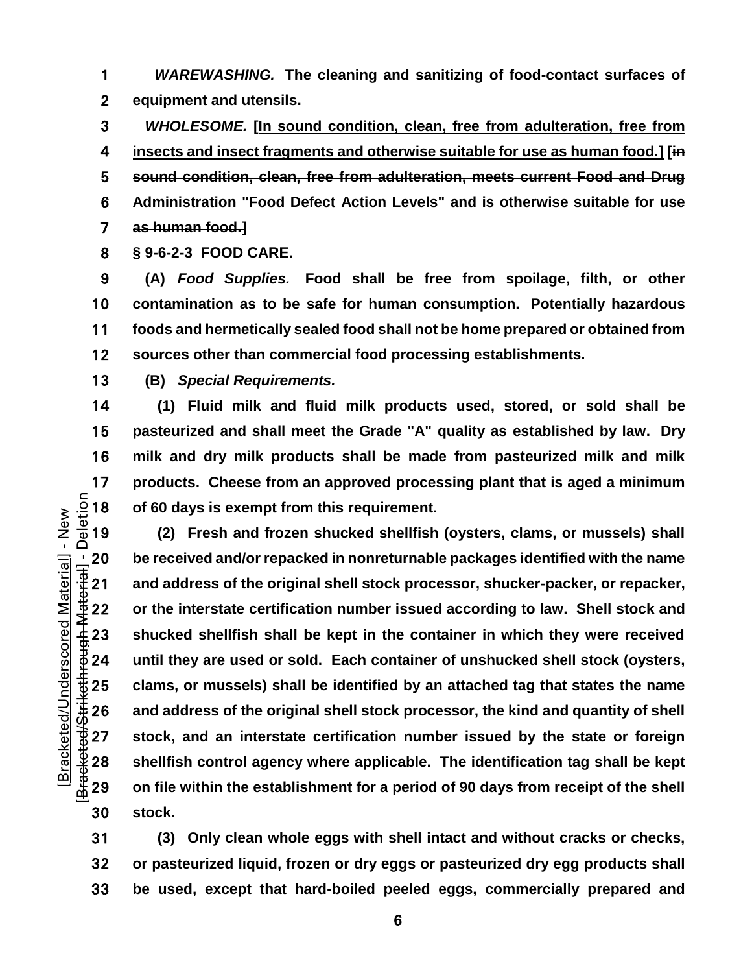*WAREWASHING.* **The cleaning and sanitizing of food-contact surfaces of equipment and utensils.**

*WHOLESOME.* **[In sound condition, clean, free from adulteration, free from insects and insect fragments and otherwise suitable for use as human food.] [in sound condition, clean, free from adulteration, meets current Food and Drug Administration "Food Defect Action Levels" and is otherwise suitable for use as human food.]**

**§ 9-6-2-3 FOOD CARE.**

**(A)** *Food Supplies.* **Food shall be free from spoilage, filth, or other contamination as to be safe for human consumption. Potentially hazardous foods and hermetically sealed food shall not be home prepared or obtained from sources other than commercial food processing establishments.**

**(B)** *Special Requirements.*

**(1) Fluid milk and fluid milk products used, stored, or sold shall be pasteurized and shall meet the Grade "A" quality as established by law. Dry milk and dry milk products shall be made from pasteurized milk and milk**  products. Cheese from an approved processing plant that is aged a minimum<br>  $\frac{5}{10}$  18 of 60 days is exempt from this requirement.<br>  $\frac{3}{10}$  19 (2) Fresh and frozen shucked shellfish (oysters, clams, or mussels) shall **of 60 days is exempt from this requirement.**

**(2) Fresh and frozen shucked shellfish (oysters, clams, or mussels) shall**  20 be received and/or repacked in nonreturnable packages identified with the name<br>  $\frac{1}{3}$  and address of the original shell stock processor, shucker-packer, or repacker,<br>  $\frac{1}{3}$  22 or the interstate certification nu **and address of the original shell stock processor, shucker-packer, or repacker, or the interstate certification number issued according to law. Shell stock and shucked shellfish shall be kept in the container in which they were received until they are used or sold. Each container of unshucked shell stock (oysters,**  clams, or mussels) shall be identified by an attached tag that states the name<br>  $\frac{11}{30}$  26 and address of the original shell stock processor, the kind and quantity of shell<br>
stock, and an interstate certification numbe **and address of the original shell stock processor, the kind and quantity of shell stock, and an interstate certification number issued by the state or foreign shellfish control agency where applicable. The identification tag shall be kept on file within the establishment for a period of 90 days from receipt of the shell stock.**

**(3) Only clean whole eggs with shell intact and without cracks or checks, or pasteurized liquid, frozen or dry eggs or pasteurized dry egg products shall be used, except that hard-boiled peeled eggs, commercially prepared and**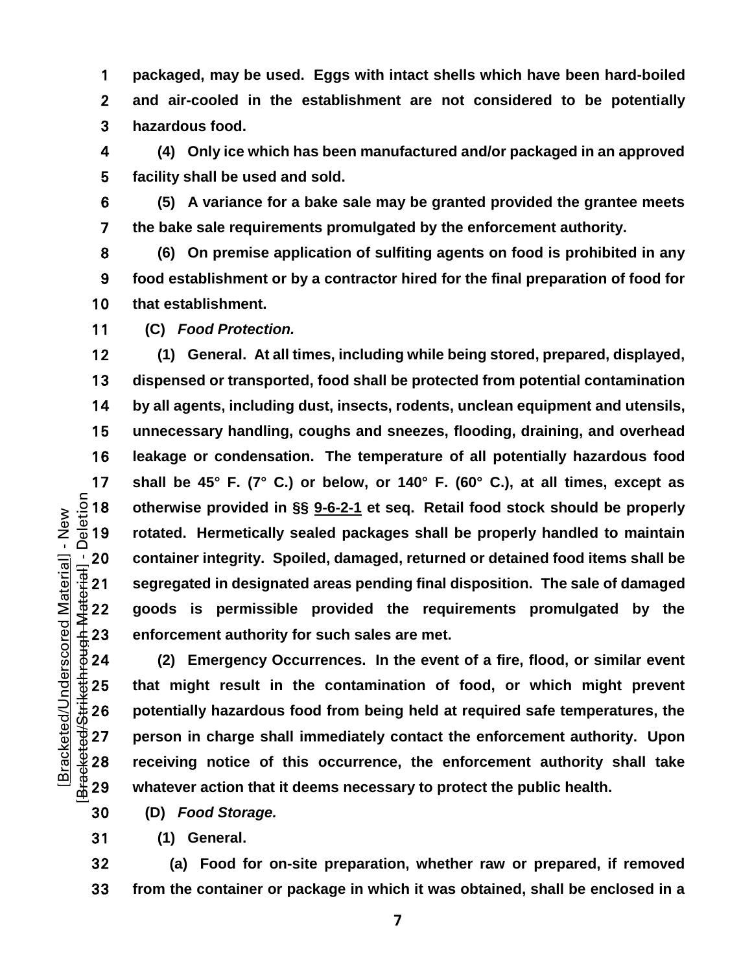**packaged, may be used. Eggs with intact shells which have been hard-boiled and air-cooled in the establishment are not considered to be potentially hazardous food.**

**(4) Only ice which has been manufactured and/or packaged in an approved facility shall be used and sold.**

**(5) A variance for a bake sale may be granted provided the grantee meets the bake sale requirements promulgated by the enforcement authority.**

**(6) On premise application of sulfiting agents on food is prohibited in any food establishment or by a contractor hired for the final preparation of food for that establishment.**

**(C)** *Food Protection.*

**(1) General. At all times, including while being stored, prepared, displayed, dispensed or transported, food shall be protected from potential contamination by all agents, including dust, insects, rodents, unclean equipment and utensils, unnecessary handling, coughs and sneezes, flooding, draining, and overhead leakage or condensation. The temperature of all potentially hazardous food**  17 shall be 45° F. (7° C.) or below, or 140° F. (60° C.), at all times, except as<br>  $\frac{5}{4}$  18 otherwise provided in §§ <u>9-6-2-1</u> et seq. Retail food stock should be properly<br>  $\frac{1}{4}$  19 rotated. Hermetically sealed pa **otherwise provided in §§ [9-6-2-1](https://codelibrary.amlegal.com/codes/albuquerque/latest/albuquerque_nm/0-0-0-11948#JD_9-6-2-1) et seq. Retail food stock should be properly rotated. Hermetically sealed packages shall be properly handled to maintain**  20 container integrity. Spoiled, damaged, returned or detained food items shall be<br>  $\frac{1}{3}$  21 segregated in designated areas pending final disposition. The sale of damaged<br>
22 goods is permissible provided the requirem **segregated in designated areas pending final disposition. The sale of damaged goods is permissible provided the requirements promulgated by the**  enforcement authority for such sales are met.

**(2) Emergency Occurrences. In the event of a fire, flood, or similar event**  that might result in the contamination of food, or which might prevent<br>  $+\frac{1}{2}$ <br>
26 potentially hazardous food from being held at required safe temperatures, the<br>  $+\frac{1}{2}$ <br>
27 person in charge shall immediately contact **potentially hazardous food from being held at required safe temperatures, the person in charge shall immediately contact the enforcement authority. Upon receiving notice of this occurrence, the enforcement authority shall take whatever action that it deems necessary to protect the public health.**

**(D)** *Food Storage.*

**(1) General.**

**(a) Food for on-site preparation, whether raw or prepared, if removed from the container or package in which it was obtained, shall be enclosed in a**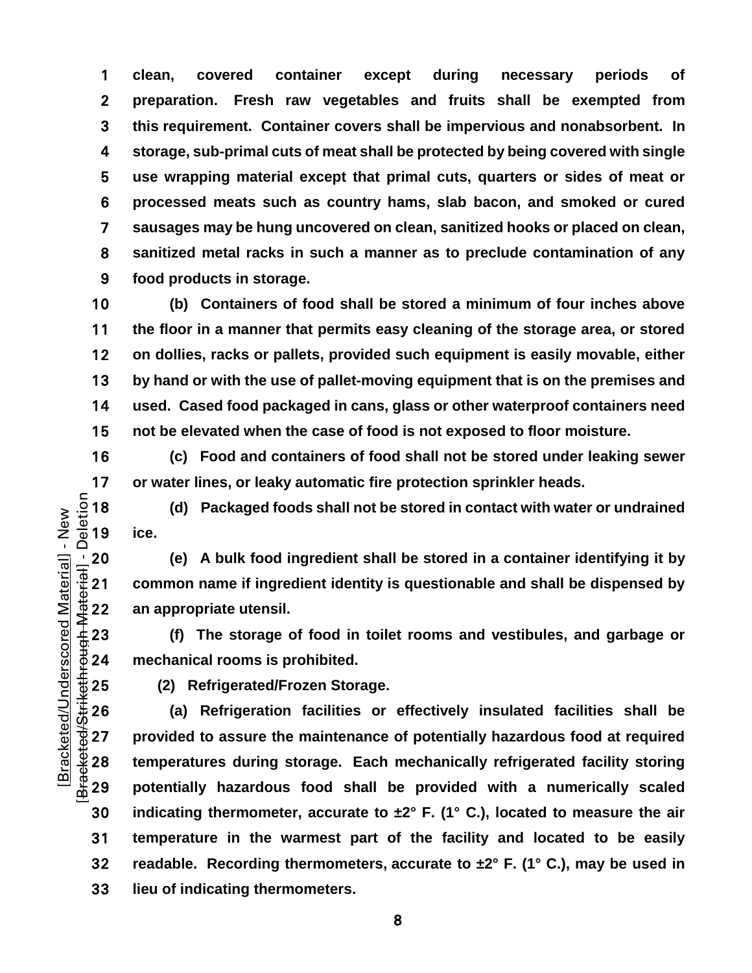**clean, covered container except during necessary periods of preparation. Fresh raw vegetables and fruits shall be exempted from this requirement. Container covers shall be impervious and nonabsorbent. In storage, sub-primal cuts of meat shall be protected by being covered with single use wrapping material except that primal cuts, quarters or sides of meat or processed meats such as country hams, slab bacon, and smoked or cured sausages may be hung uncovered on clean, sanitized hooks or placed on clean, sanitized metal racks in such a manner as to preclude contamination of any food products in storage.**

**(b) Containers of food shall be stored a minimum of four inches above the floor in a manner that permits easy cleaning of the storage area, or stored on dollies, racks or pallets, provided such equipment is easily movable, either by hand or with the use of pallet-moving equipment that is on the premises and used. Cased food packaged in cans, glass or other waterproof containers need not be elevated when the case of food is not exposed to floor moisture.**

**(c) Food and containers of food shall not be stored under leaking sewer or water lines, or leaky automatic fire protection sprinkler heads.**

**(d) Packaged foods shall not be stored in contact with water or undrained**   $\frac{5}{6}$  18<br> $\frac{1}{6}$  19 ice.

20 (e) A bulk food ingredient shall be stored in a container identifying it by<br>  $\frac{1}{3}$  21 common name if ingredient identity is questionable and shall be dispensed by<br>
22 an appropriate utensil.<br>
4 23 (f) The storage o **common name if ingredient identity is questionable and shall be dispensed by**  an appropriate utensil.

**(f) The storage of food in toilet rooms and vestibules, and garbage or mechanical rooms is prohibited.**

25 (2) Refrigerated/Frozen Storage.<br>
26 (a) Refrigeration facilities or<br>
27 provided to assure the maintenance<br>
28 temperatures during storage. Each<br>
29 potentially hazardous food shall k<br>
29 potentially hazardous food sh **(a) Refrigeration facilities or effectively insulated facilities shall be provided to assure the maintenance of potentially hazardous food at required temperatures during storage. Each mechanically refrigerated facility storing potentially hazardous food shall be provided with a numerically scaled indicating thermometer, accurate to ±2° F. (1° C.), located to measure the air temperature in the warmest part of the facility and located to be easily readable. Recording thermometers, accurate to ±2° F. (1° C.), may be used in lieu of indicating thermometers.**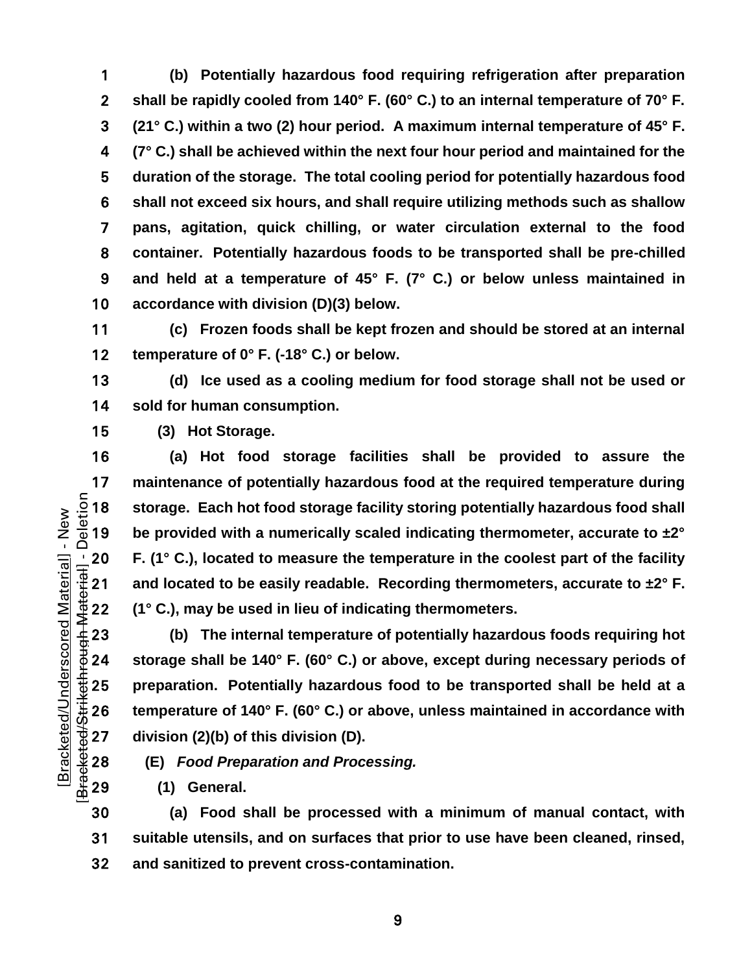**(b) Potentially hazardous food requiring refrigeration after preparation shall be rapidly cooled from 140° F. (60° C.) to an internal temperature of 70° F. (21° C.) within a two (2) hour period. A maximum internal temperature of 45° F. (7° C.) shall be achieved within the next four hour period and maintained for the duration of the storage. The total cooling period for potentially hazardous food shall not exceed six hours, and shall require utilizing methods such as shallow pans, agitation, quick chilling, or water circulation external to the food container. Potentially hazardous foods to be transported shall be pre-chilled and held at a temperature of 45° F. (7° C.) or below unless maintained in accordance with division (D)(3) below.** 

**(c) Frozen foods shall be kept frozen and should be stored at an internal temperature of 0° F. (-18° C.) or below.**

**(d) Ice used as a cooling medium for food storage shall not be used or sold for human consumption.**

**(3) Hot Storage.**

**(a) Hot food storage facilities shall be provided to assure the**  17 maintenance of potentially hazardous food at the required temperature during<br>  $\frac{5}{10}$  18 storage. Each hot food storage facility storing potentially hazardous food shall<br>  $\frac{1}{10}$  19 be provided with a numerically **storage. Each hot food storage facility storing potentially hazardous food shall**  be provided with a numerically scaled indicating thermometer, accurate to  $\pm 2^{\circ}$ 20 **F.** (1° C.), located to measure the temperature in the coolest part of the facility<br>  $\frac{1}{3}$  and located to be easily readable. Recording thermometers, accurate to  $\pm 2^{\circ}$  F.<br>  $\pm \frac{1}{2}$  22 (1° C.), may be used and located to be easily readable. Recording thermometers, accurate to  $\pm 2^{\circ}$  F. **(1° C.), may be used in lieu of indicating thermometers.**

**(b) The internal temperature of potentially hazardous foods requiring hot**  storage shall be 140° F. (60° C.) or above, except during necessary periods of preparation. Potentially hazardous food to be transported shall be held at a<br>  $\frac{11}{32}$  26 temperature of 140° F. (60° C.) or above, unless maintained in accordance with<br>
division (2)(b) of this division (D).<br>  $\frac{1}{2}$  **temperature of 140° F. (60° C.) or above, unless maintained in accordance with division (2)(b) of this division (D).**

**(E)** *Food Preparation and Processing.*

**(1) General.**

**(a) Food shall be processed with a minimum of manual contact, with suitable utensils, and on surfaces that prior to use have been cleaned, rinsed, and sanitized to prevent cross-contamination.**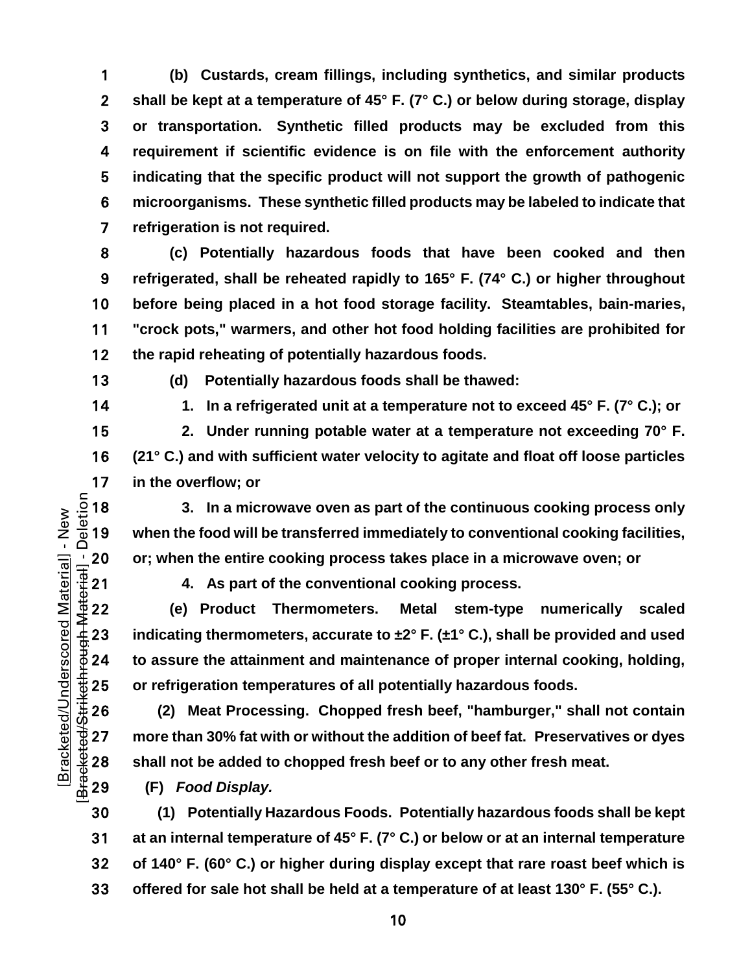**(b) Custards, cream fillings, including synthetics, and similar products shall be kept at a temperature of 45° F. (7° C.) or below during storage, display or transportation. Synthetic filled products may be excluded from this requirement if scientific evidence is on file with the enforcement authority indicating that the specific product will not support the growth of pathogenic microorganisms. These synthetic filled products may be labeled to indicate that refrigeration is not required.**

**(c) Potentially hazardous foods that have been cooked and then refrigerated, shall be reheated rapidly to 165° F. (74° C.) or higher throughout before being placed in a hot food storage facility. Steamtables, bain-maries, "crock pots," warmers, and other hot food holding facilities are prohibited for the rapid reheating of potentially hazardous foods.**

**(d) Potentially hazardous foods shall be thawed:**

**1. In a refrigerated unit at a temperature not to exceed 45° F. (7° C.); or**

**2. Under running potable water at a temperature not exceeding 70° F. (21° C.) and with sufficient water velocity to agitate and float off loose particles** 

17 in the overflow; or<br> $\frac{5}{9}$  18 3. In a micr<br> $\frac{6}{9}$  19 when the food will be **3. In a microwave oven as part of the continuous cooking process only when the food will be transferred immediately to conventional cooking facilities,** 

**4. As part of the conventional cooking process.**

20 or; when the entire cooking process takes place in a microwave oven; or<br>  $\frac{1}{2}$  21 4. As part of the conventional cooking process.<br>
4. As part of the conventional cooking process.<br>
4. As part of the conventional coo **(e) Product Thermometers. Metal stem-type numerically scaled indicating thermometers, accurate to ±2° F. (±1° C.), shall be provided and used to assure the attainment and maintenance of proper internal cooking, holding,** 

25 or refrigeration temperatures of all potentially hazardous foods.<br>
26 (2) Meat Processing. Chopped fresh beef, "hamburger," sh<br>
27 more than 30% fat with or without the addition of beef fat. Preser<br>
28 shall not be add **(2) Meat Processing. Chopped fresh beef, "hamburger," shall not contain more than 30% fat with or without the addition of beef fat. Preservatives or dyes shall not be added to chopped fresh beef or to any other fresh meat.**

**(F)** *Food Display.*

**(1) Potentially Hazardous Foods. Potentially hazardous foods shall be kept at an internal temperature of 45° F. (7° C.) or below or at an internal temperature of 140° F. (60° C.) or higher during display except that rare roast beef which is offered for sale hot shall be held at a temperature of at least 130° F. (55° C.).**

[Bracketed/Strikethrough Material] - Deletion Bracketed/Underscored Material] - New [Bracketed/Underscored Material] - New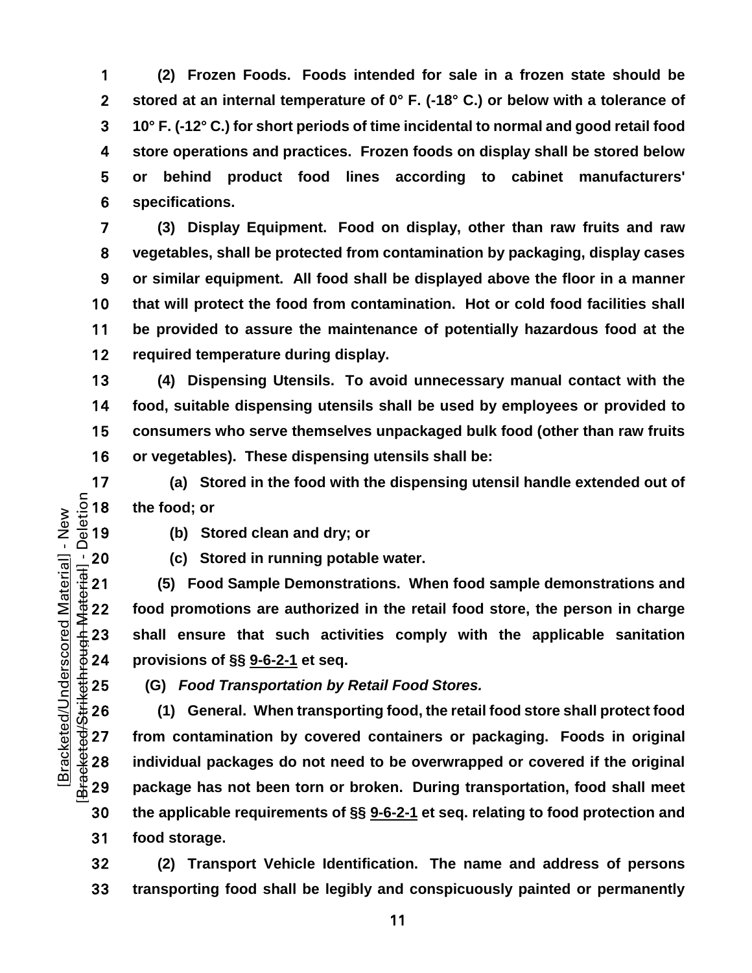**(2) Frozen Foods. Foods intended for sale in a frozen state should be stored at an internal temperature of 0° F. (-18° C.) or below with a tolerance of 10° F. (-12° C.) for short periods of time incidental to normal and good retail food store operations and practices. Frozen foods on display shall be stored below or behind product food lines according to cabinet manufacturers' specifications.**

**(3) Display Equipment. Food on display, other than raw fruits and raw vegetables, shall be protected from contamination by packaging, display cases or similar equipment. All food shall be displayed above the floor in a manner that will protect the food from contamination. Hot or cold food facilities shall be provided to assure the maintenance of potentially hazardous food at the required temperature during display.**

**(4) Dispensing Utensils. To avoid unnecessary manual contact with the food, suitable dispensing utensils shall be used by employees or provided to consumers who serve themselves unpackaged bulk food (other than raw fruits or vegetables). These dispensing utensils shall be:**

17 **(a) Stored in the food with the dispensing utensil handle extended out of<br>**  $\frac{5}{10}$  **18 <b>the food; or**<br> **(b) Stored clean and dry; or**<br> **(a) Stored clean and dry; or** the food; or

[Bracketed/Strikethrough Material] - Deletion Bracketed/Underscored Material] - New [Bracketed/Underscored Material] - New

 $B_{\rm{f}}$ ac

**(b) Stored clean and dry; or**

 $\frac{1}{4}$  20 **(c)** Stored in running potable water.<br>  $\frac{1}{4}$  21 **(5)** Food Sample Demonstrations. Where 22 food promotions are authorized in the ref<br>  $\frac{4}{4}$  23 shall ensure that such activities comp<br>  $\frac{3}{4}$  24 pro **(5) Food Sample Demonstrations. When food sample demonstrations and food promotions are authorized in the retail food store, the person in charge shall ensure that such activities comply with the applicable sanitation provisions of §§ [9-6-2-1](https://codelibrary.amlegal.com/codes/albuquerque/latest/albuquerque_nm/0-0-0-11948#JD_9-6-2-1) et seq.**

<del>2</del><br>
25 **(G)** *Food Transportation by Retail Food Stores.*<br>
26 **(1)** General. When transporting food, the retail<br>
27 from contamination by covered containers or pa<br>
28 individual packages do not need to be overwrapp<br>
28 i **(1) General. When transporting food, the retail food store shall protect food from contamination by covered containers or packaging. Foods in original individual packages do not need to be overwrapped or covered if the original package has not been torn or broken. During transportation, food shall meet the applicable requirements of §§ [9-6-2-1](https://codelibrary.amlegal.com/codes/albuquerque/latest/albuquerque_nm/0-0-0-11948#JD_9-6-2-1) et seq. relating to food protection and food storage.**

**(2) Transport Vehicle Identification. The name and address of persons transporting food shall be legibly and conspicuously painted or permanently**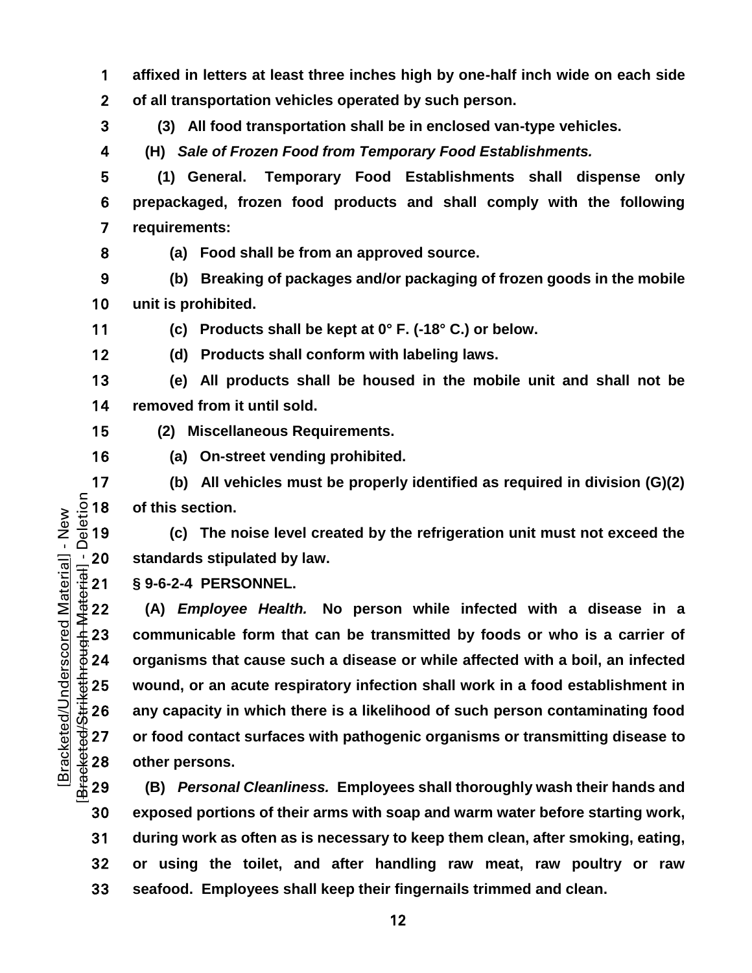- **affixed in letters at least three inches high by one-half inch wide on each side of all transportation vehicles operated by such person.**
- **(3) All food transportation shall be in enclosed van-type vehicles.**
- **(H)** *Sale of Frozen Food from Temporary Food Establishments.*
- **(1) General. Temporary Food Establishments shall dispense only prepackaged, frozen food products and shall comply with the following requirements:**
- 

**(a) Food shall be from an approved source.**

**(b) Breaking of packages and/or packaging of frozen goods in the mobile unit is prohibited.**

- **(c) Products shall be kept at 0° F. (-18° C.) or below.**
- 
- **(d) Products shall conform with labeling laws.**

**(e) All products shall be housed in the mobile unit and shall not be removed from it until sold.**

- **(2) Miscellaneous Requirements.**
- **(a) On-street vending prohibited.**

17 **(b)** All vehicles must be properly identified as required in division (G)(2)<br>  $\frac{5}{8}$  18 of this section.<br> **(c)** The noise level created by the refrigeration unit must not exceed the of this section.

**(c) The noise level created by the refrigeration unit must not exceed the** 

**§ 9-6-2-4 PERSONNEL.**

 $\frac{1}{4}$  20 standards stipulated by law.<br>  $\frac{1}{4}$  21 § 9-6-2-4 PERSONNEL.<br>
22 (A) *Employee Health.* N<br>  $\frac{4}{4}$  23 communicable form that ca<br>
24 organisms that cause such a **(A)** *Employee Health.* **No person while infected with a disease in a communicable form that can be transmitted by foods or who is a carrier of organisms that cause such a disease or while affected with a boil, an infected**  <del>↓</del><br>25 **wound, or an acute respiratory infection shall work in a food establishment in<br>26 any capacity in which there is a likelihood of such person contaminating food<br>27 or food contact surfaces with pathogenic organisms any capacity in which there is a likelihood of such person contaminating food or food contact surfaces with pathogenic organisms or transmitting disease to**  other persons.

**(B)** *Personal Cleanliness.* **Employees shall thoroughly wash their hands and exposed portions of their arms with soap and warm water before starting work, during work as often as is necessary to keep them clean, after smoking, eating, or using the toilet, and after handling raw meat, raw poultry or raw seafood. Employees shall keep their fingernails trimmed and clean.**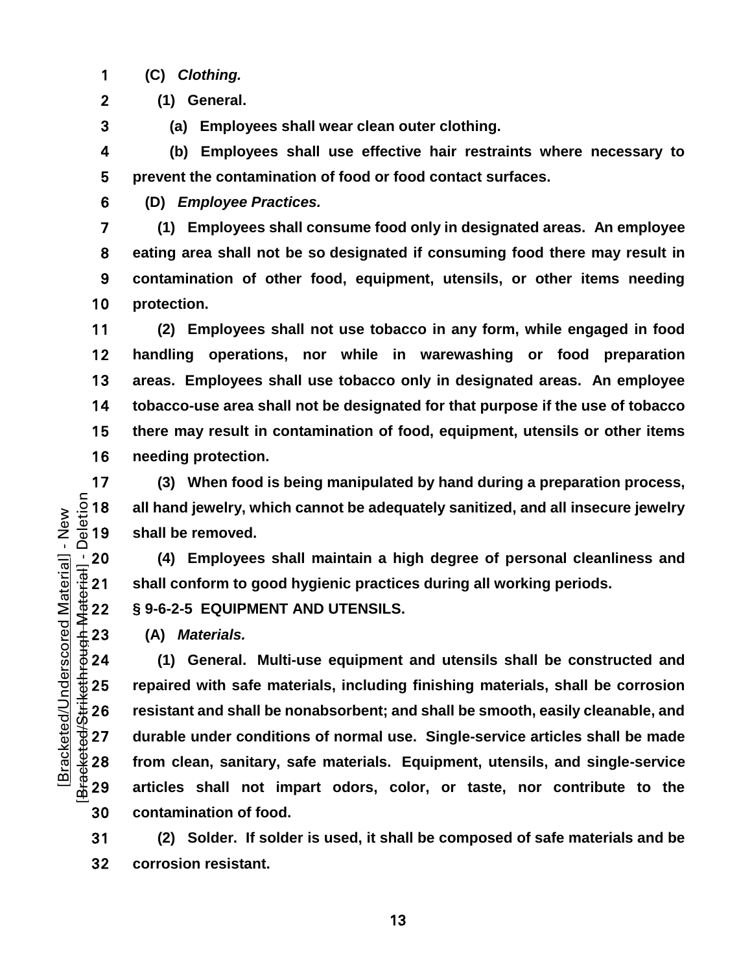**(C)** *Clothing.*

**(1) General.**

**(a) Employees shall wear clean outer clothing.**

**(b) Employees shall use effective hair restraints where necessary to prevent the contamination of food or food contact surfaces.**

**(D)** *Employee Practices.*

**(1) Employees shall consume food only in designated areas. An employee eating area shall not be so designated if consuming food there may result in contamination of other food, equipment, utensils, or other items needing protection.**

**(2) Employees shall not use tobacco in any form, while engaged in food handling operations, nor while in warewashing or food preparation areas. Employees shall use tobacco only in designated areas. An employee tobacco-use area shall not be designated for that purpose if the use of tobacco there may result in contamination of food, equipment, utensils or other items needing protection.**

17 (3) When food is being manipulated by hand during a preparation process,<br>  $\frac{5}{10}$  18 all hand jewelry, which cannot be adequately sanitized, and all insecure jewelry<br>  $\frac{1}{10}$  19 shall be removed. all hand jewelry, which cannot be adequately sanitized, and all insecure jewelry shall be removed.

20 (4) Employees shall maintain a high degree of personal cleanliness and<br>  $\frac{1}{3}$  21 shall conform to good hygienic practices during all working periods.<br>  $\frac{4}{3}$  22 § 9-6-2-5 EQUIPMENT AND UTENSILS.<br>  $\frac{4}{3}$  23 (A **shall conform to good hygienic practices during all working periods.**

**§ 9-6-2-5 EQUIPMENT AND UTENSILS.**

**(A)** *Materials.*

**(1) General. Multi-use equipment and utensils shall be constructed and**  repaired with safe materials, including finishing materials, shall be corrosion<br>  $\frac{11}{100}$  26 resistant and shall be nonabsorbent; and shall be smooth, easily cleanable, and<br>  $\frac{11}{100}$  27 durable under conditions of **resistant and shall be nonabsorbent; and shall be smooth, easily cleanable, and durable under conditions of normal use. Single-service articles shall be made from clean, sanitary, safe materials. Equipment, utensils, and single-service articles shall not impart odors, color, or taste, nor contribute to the contamination of food.**

**(2) Solder. If solder is used, it shall be composed of safe materials and be corrosion resistant.**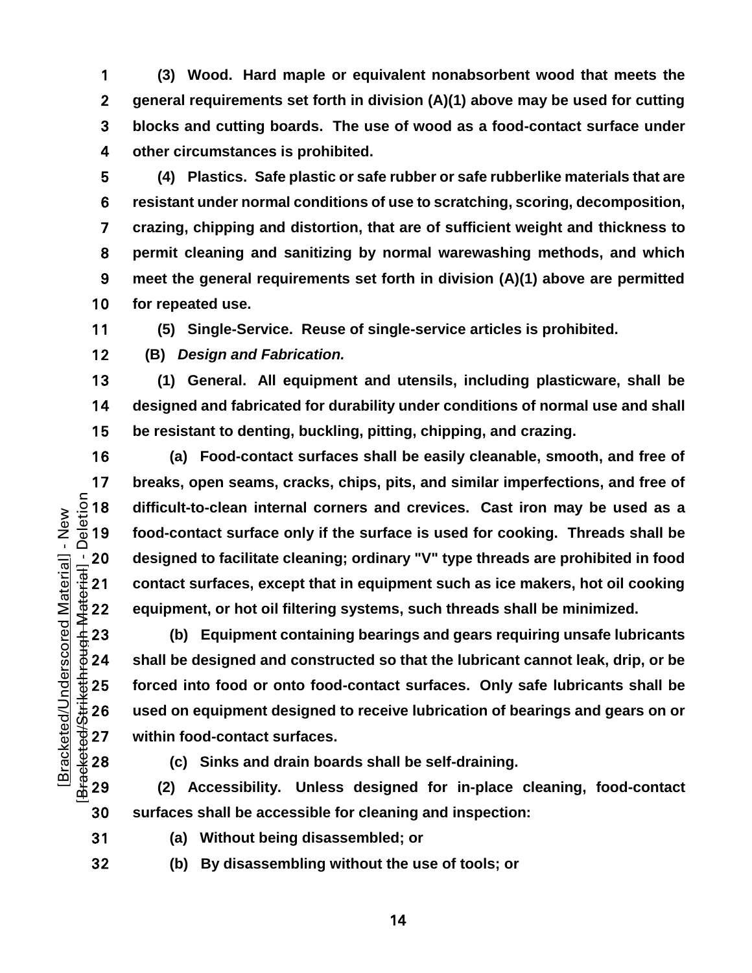**(3) Wood. Hard maple or equivalent nonabsorbent wood that meets the general requirements set forth in division (A)(1) above may be used for cutting blocks and cutting boards. The use of wood as a food-contact surface under other circumstances is prohibited.**

**(4) Plastics. Safe plastic or safe rubber or safe rubberlike materials that are resistant under normal conditions of use to scratching, scoring, decomposition, crazing, chipping and distortion, that are of sufficient weight and thickness to permit cleaning and sanitizing by normal warewashing methods, and which meet the general requirements set forth in division (A)(1) above are permitted for repeated use.**

**(5) Single-Service. Reuse of single-service articles is prohibited.**

**(B)** *Design and Fabrication.*

**(1) General. All equipment and utensils, including plasticware, shall be designed and fabricated for durability under conditions of normal use and shall be resistant to denting, buckling, pitting, chipping, and crazing.**

**(a) Food-contact surfaces shall be easily cleanable, smooth, and free of**  17 breaks, open seams, cracks, chips, pits, and similar imperfections, and free of<br>  $\frac{5}{10}$  18 difficult-to-clean internal corners and crevices. Cast iron may be used as a<br>  $\frac{5}{10}$  19 food-contact surface only if th **difficult-to-clean internal corners and crevices. Cast iron may be used as a food-contact surface only if the surface is used for cooking. Threads shall be**  20 designed to facilitate cleaning; ordinary "V" type threads are prohibited in food<br>  $\frac{1}{3}$  21 contact surfaces, except that in equipment such as ice makers, hot oil cooking<br>
equipment, or hot oil filtering systems, s **contact surfaces, except that in equipment such as ice makers, hot oil cooking equipment, or hot oil filtering systems, such threads shall be minimized.**

**(b) Equipment containing bearings and gears requiring unsafe lubricants shall be designed and constructed so that the lubricant cannot leak, drip, or be**  the 25 forced into food or onto food-contact surfaces. Only safe lubricants shall be<br>
26 used on equipment designed to receive lubrication of bearings and gears on or<br>
27 within food-contact surfaces.<br>
28 (c) Sinks and dr **used on equipment designed to receive lubrication of bearings and gears on or**  within food-contact surfaces.

**(c) Sinks and drain boards shall be self-draining.**

**(2) Accessibility. Unless designed for in-place cleaning, food-contact surfaces shall be accessible for cleaning and inspection:**

- **(a) Without being disassembled; or**
- **(b) By disassembling without the use of tools; or**

[Bracketed/Strikethrough Material] - Deletion Bracketed/Underscored Material] - New [Bracketed/Underscored Material] - New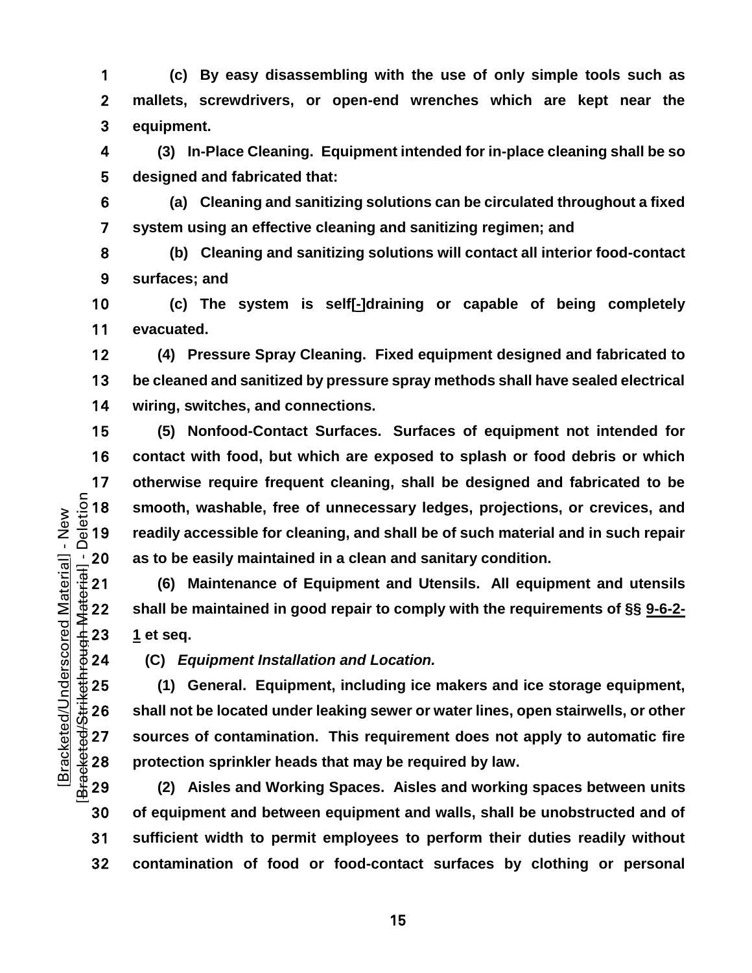**(c) By easy disassembling with the use of only simple tools such as mallets, screwdrivers, or open-end wrenches which are kept near the equipment.**

**(3) In-Place Cleaning. Equipment intended for in-place cleaning shall be so designed and fabricated that:**

**(a) Cleaning and sanitizing solutions can be circulated throughout a fixed system using an effective cleaning and sanitizing regimen; and**

**(b) Cleaning and sanitizing solutions will contact all interior food-contact surfaces; and**

**(c) The system is self[-]draining or capable of being completely evacuated.**

**(4) Pressure Spray Cleaning. Fixed equipment designed and fabricated to be cleaned and sanitized by pressure spray methods shall have sealed electrical wiring, switches, and connections.**

**(5) Nonfood-Contact Surfaces. Surfaces of equipment not intended for contact with food, but which are exposed to splash or food debris or which**  17 otherwise require frequent cleaning, shall be designed and fabricated to be<br>  $\frac{5}{2}$  18 smooth, washable, free of unnecessary ledges, projections, or crevices, and<br>  $\frac{1}{2}$  19 readily accessible for cleaning, and s **smooth, washable, free of unnecessary ledges, projections, or crevices, and**  readily accessible for cleaning, and shall be of such material and in such repair

20 as to be easily maintained in a clean and sanitary condition.<br>  $\frac{1}{4}$  21 (6) Maintenance of Equipment and Utensils. All equip<br>  $\frac{1}{4}$  22 shall be maintained in good repair to comply with the require<br>  $\frac{1}{4}$  23 **(6) Maintenance of Equipment and Utensils. All equipment and utensils shall be maintained in good repair to comply with the requirements of §§ 9-6-2- 1 et seq.**

**(C)** *Equipment Installation and Location.*

25 (1) General. Equipment, including ice makers and ice storage equipment,<br>  $\frac{1}{20}$  26 shall not be located under leaking sewer or water lines, open stairwells, or other<br>
27 sources of contamination. This requirement do **shall not be located under leaking sewer or water lines, open stairwells, or other sources of contamination. This requirement does not apply to automatic fire protection sprinkler heads that may be required by law.**

**(2) Aisles and Working Spaces. Aisles and working spaces between units of equipment and between equipment and walls, shall be unobstructed and of sufficient width to permit employees to perform their duties readily without contamination of food or food-contact surfaces by clothing or personal**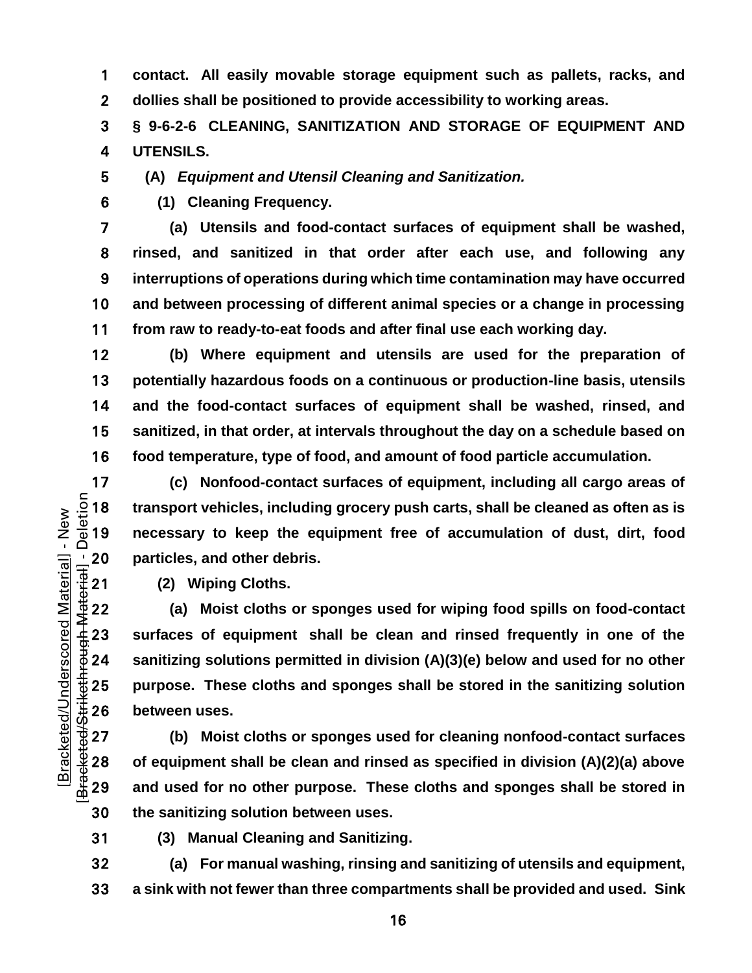**contact. All easily movable storage equipment such as pallets, racks, and dollies shall be positioned to provide accessibility to working areas.**

**§ 9-6-2-6 CLEANING, SANITIZATION AND STORAGE OF EQUIPMENT AND UTENSILS.**

**(A)** *Equipment and Utensil Cleaning and Sanitization.*

**(1) Cleaning Frequency.**

**(a) Utensils and food-contact surfaces of equipment shall be washed, rinsed, and sanitized in that order after each use, and following any interruptions of operations during which time contamination may have occurred and between processing of different animal species or a change in processing from raw to ready-to-eat foods and after final use each working day.**

**(b) Where equipment and utensils are used for the preparation of potentially hazardous foods on a continuous or production-line basis, utensils and the food-contact surfaces of equipment shall be washed, rinsed, and sanitized, in that order, at intervals throughout the day on a schedule based on food temperature, type of food, and amount of food particle accumulation.**

17 (c) Nonfood-contact surfaces of equipment, including all cargo areas of<br>  $\frac{5}{10}$  18 transport vehicles, including grocery push carts, shall be cleaned as often as is<br>  $\frac{5}{10}$  19 necessary to keep the equipment fr transport vehicles, including grocery push carts, shall be cleaned as often as is **necessary to keep the equipment free of accumulation of dust, dirt, food** 

**(2) Wiping Cloths.**

 $\frac{1}{4}$  20 particles, and other debris.<br>  $\frac{1}{4}$  21 (2) Wiping Cloths.<br>
22 (a) Moist cloths or sp<br>  $\frac{4}{4}$  23 surfaces of equipment sh<br>
24 sanitizing solutions permitt **(a) Moist cloths or sponges used for wiping food spills on food-contact surfaces of equipment shall be clean and rinsed frequently in one of the sanitizing solutions permitted in division (A)(3)(e) below and used for no other**  between uses.

purpose. These cloths and sponges shall be stored in the sanitizing solution<br>  $\frac{4}{35}$  26 between uses.<br>
27 (b) Moist cloths or sponges used for cleaning nonfood-contact surfaces<br>
28 of equipment shall be clean and rinse **(b) Moist cloths or sponges used for cleaning nonfood-contact surfaces of equipment shall be clean and rinsed as specified in division (A)(2)(a) above and used for no other purpose. These cloths and sponges shall be stored in the sanitizing solution between uses.**

**(3) Manual Cleaning and Sanitizing.**

**(a) For manual washing, rinsing and sanitizing of utensils and equipment, a sink with not fewer than three compartments shall be provided and used. Sink**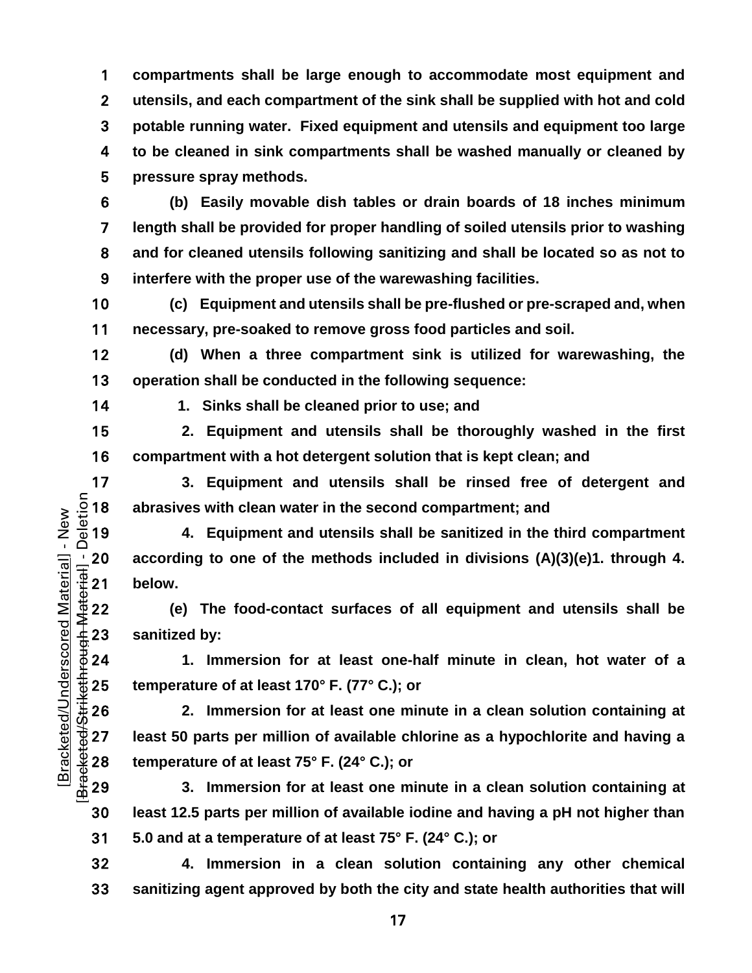**compartments shall be large enough to accommodate most equipment and utensils, and each compartment of the sink shall be supplied with hot and cold potable running water. Fixed equipment and utensils and equipment too large to be cleaned in sink compartments shall be washed manually or cleaned by pressure spray methods.**

**(b) Easily movable dish tables or drain boards of 18 inches minimum length shall be provided for proper handling of soiled utensils prior to washing and for cleaned utensils following sanitizing and shall be located so as not to interfere with the proper use of the warewashing facilities.**

**(c) Equipment and utensils shall be pre-flushed or pre-scraped and, when necessary, pre-soaked to remove gross food particles and soil.**

**(d) When a three compartment sink is utilized for warewashing, the operation shall be conducted in the following sequence:**

**1. Sinks shall be cleaned prior to use; and**

**2. Equipment and utensils shall be thoroughly washed in the first compartment with a hot detergent solution that is kept clean; and**

17 3. Equipment and utensils shall be rinsed free of detergent and  $\frac{5}{8}$  18 abrasives with clean water in the second compartment; and  $\frac{5}{8}$  19 4. Equipment and utensils shall be sanitized in the third compartment abrasives with clean water in the second compartment; and

**4. Equipment and utensils shall be sanitized in the third compartment**  20 according to one of the methods included in divisions  $(A)(3)(e)$ 1. through 4.<br>  $\frac{1}{2}$  21 below.<br>
(e) The food-contact surfaces of all equipment and utensils shall be<br>  $\frac{1}{2}$  23 sanitized by:<br>  $\frac{1}{2}$  24 1. Immers below.

**(e) The food-contact surfaces of all equipment and utensils shall be**  sanitized by:

**1. Immersion for at least one-half minute in clean, hot water of a** 

**temperature of at least 170° F. (77° C.); or**<br>  $\frac{4}{3}$  26 **2.** Immersion for at least one min<br>
27 least 50 parts per million of available chk<br>
28 **temperature of at least 75° F. (24° C.); or 2. Immersion for at least one minute in a clean solution containing at**  least 50 parts per million of available chlorine as a hypochlorite and having a **temperature of at least 75° F. (24° C.); or**

**3. Immersion for at least one minute in a clean solution containing at least 12.5 parts per million of available iodine and having a pH not higher than 5.0 and at a temperature of at least 75° F. (24° C.); or**

**4. Immersion in a clean solution containing any other chemical sanitizing agent approved by both the city and state health authorities that will**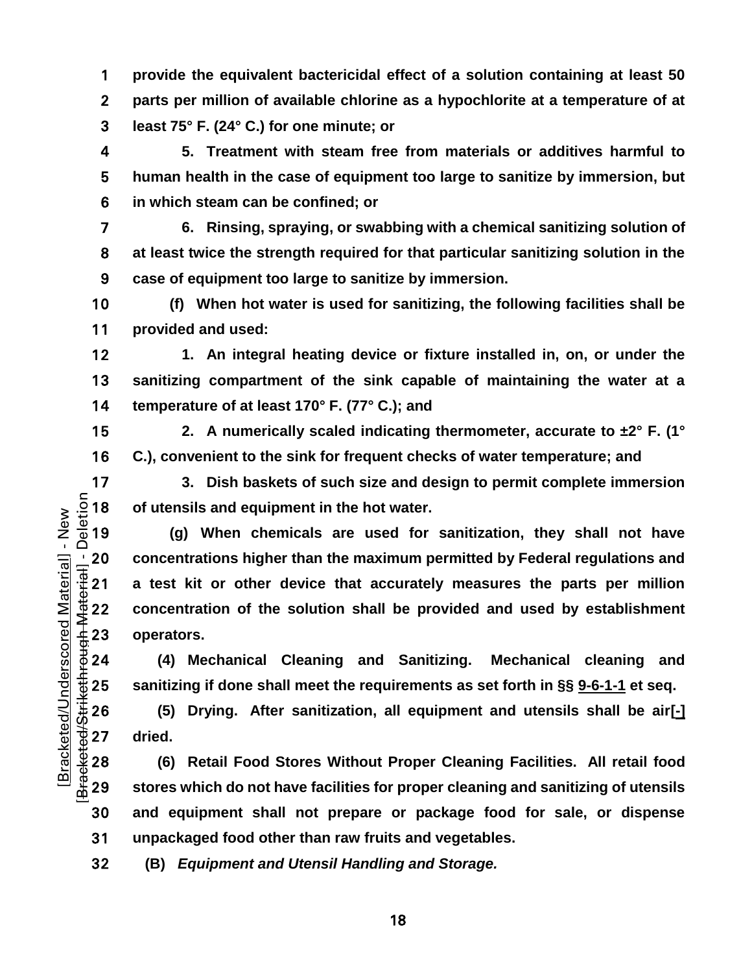**provide the equivalent bactericidal effect of a solution containing at least 50 parts per million of available chlorine as a hypochlorite at a temperature of at least 75° F. (24° C.) for one minute; or**

**5. Treatment with steam free from materials or additives harmful to human health in the case of equipment too large to sanitize by immersion, but in which steam can be confined; or**

**6. Rinsing, spraying, or swabbing with a chemical sanitizing solution of at least twice the strength required for that particular sanitizing solution in the case of equipment too large to sanitize by immersion.**

**(f) When hot water is used for sanitizing, the following facilities shall be provided and used:**

**1. An integral heating device or fixture installed in, on, or under the sanitizing compartment of the sink capable of maintaining the water at a temperature of at least 170° F. (77° C.); and**

**2. A numerically scaled indicating thermometer, accurate to ±2° F. (1° C.), convenient to the sink for frequent checks of water temperature; and**

17 3. Dish baskets of such size and design to permit complete immersion<br>  $\frac{5}{2}$  18 of utensils and equipment in the hot water.<br>  $\frac{5}{4}$  19 (g) When chemicals are used for sanitization, they shall not have of utensils and equipment in the hot water.

**(g) When chemicals are used for sanitization, they shall not have**  20 concentrations higher than the maximum permitted by Federal regulations and<br>  $\frac{1}{4}$  21 a test kit or other device that accurately measures the parts per million<br>
22 concentration of the solution shall be provided an **a test kit or other device that accurately measures the parts per million concentration of the solution shall be provided and used by establishment operators.**

**(4) Mechanical Cleaning and Sanitizing. Mechanical cleaning and** 

<del>25</del> sanitizing if done shall meet the requirements as set forth in §§ <u>9-6-1-1</u> et seq.<br>
26 (5) Drying. After sanitization, all equipment and utensils shall be air[-<br>
27 dried.<br>
28 (6) Retail Food Stores Without Proper C **(5) Drying. After sanitization, all equipment and utensils shall be air[-]** dried.

**(6) Retail Food Stores Without Proper Cleaning Facilities. All retail food stores which do not have facilities for proper cleaning and sanitizing of utensils and equipment shall not prepare or package food for sale, or dispense unpackaged food other than raw fruits and vegetables.**

**(B)** *Equipment and Utensil Handling and Storage.*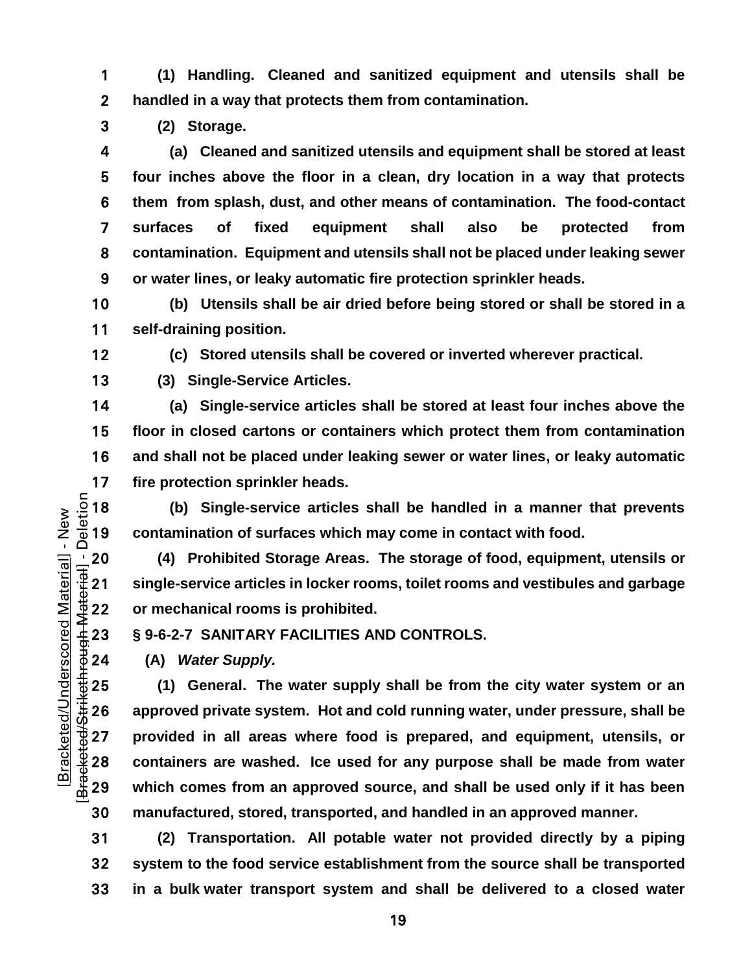**(1) Handling. Cleaned and sanitized equipment and utensils shall be handled in a way that protects them from contamination.**

**(2) Storage.**

**(a) Cleaned and sanitized utensils and equipment shall be stored at least four inches above the floor in a clean, dry location in a way that protects them from splash, dust, and other means of contamination. The food-contact surfaces of fixed equipment shall also be protected from contamination. Equipment and utensils shall not be placed under leaking sewer or water lines, or leaky automatic fire protection sprinkler heads.**

**(b) Utensils shall be air dried before being stored or shall be stored in a self-draining position.**

**(c) Stored utensils shall be covered or inverted wherever practical.**

**(3) Single-Service Articles.**

**(a) Single-service articles shall be stored at least four inches above the floor in closed cartons or containers which protect them from contamination and shall not be placed under leaking sewer or water lines, or leaky automatic** 

17 fire protection sprinkler heads.<br>  $\frac{5}{8}$  18 (b) Single-service article<br>  $\frac{5}{8}$  19 contamination of surfaces whic **(b) Single-service articles shall be handled in a manner that prevents contamination of surfaces which may come in contact with food.**

<sup>1</sup>/20 (4) Prohibited Storage Areas. The storage of food, equipment, utensils or<br>
<del>4</del>/<sub>19</sub> experience articles in locker rooms, toilet rooms and vestibules and garbage<br>
22 or mechanical rooms is prohibited.<br>
4. 23 § 9-6-2 **single-service articles in locker rooms, toilet rooms and vestibules and garbage or mechanical rooms is prohibited.**

**§ 9-6-2-7 SANITARY FACILITIES AND CONTROLS.**

**(A)** *Water Supply.*

(1) General. The water supply shall be from the city water system or an approved private system. Hot and cold running water, under pressure, shall be provided in all areas where food is prepared, and equipment, utensils, **approved private system. Hot and cold running water, under pressure, shall be provided in all areas where food is prepared, and equipment, utensils, or containers are washed. Ice used for any purpose shall be made from water which comes from an approved source, and shall be used only if it has been manufactured, stored, transported, and handled in an approved manner.**

**(2) Transportation. All potable water not provided directly by a piping system to the food service establishment from the source shall be transported in a bulk water transport system and shall be delivered to a closed water**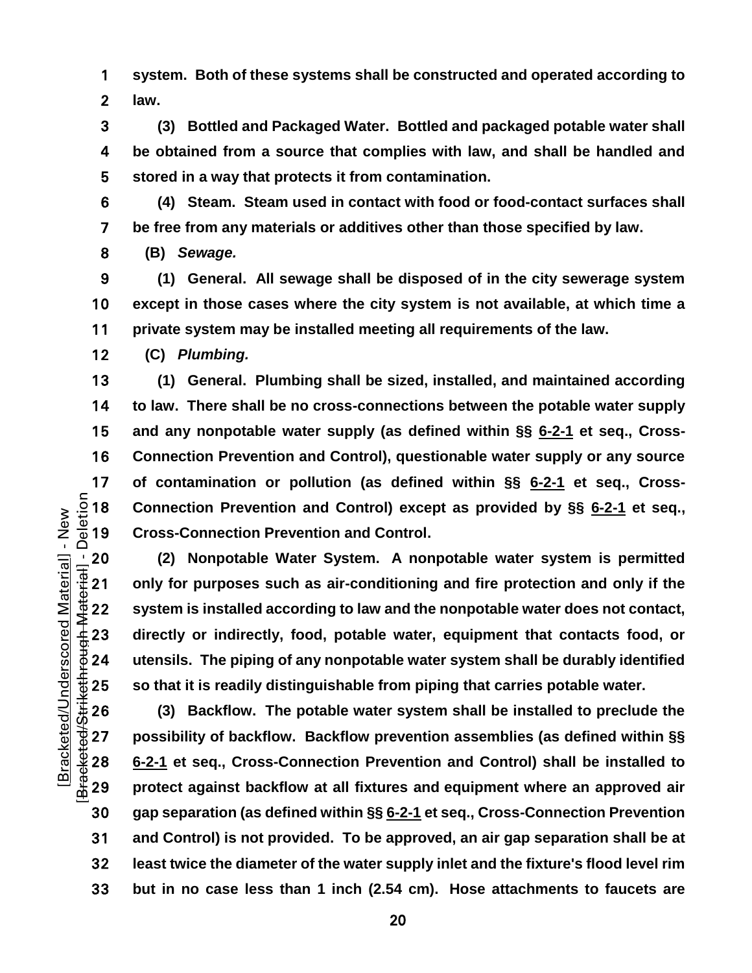**system. Both of these systems shall be constructed and operated according to law.**

- **(3) Bottled and Packaged Water. Bottled and packaged potable water shall be obtained from a source that complies with law, and shall be handled and stored in a way that protects it from contamination.**
- **(4) Steam. Steam used in contact with food or food-contact surfaces shall be free from any materials or additives other than those specified by law.**
- **(B)** *Sewage.*
- **(1) General. All sewage shall be disposed of in the city sewerage system except in those cases where the city system is not available, at which time a private system may be installed meeting all requirements of the law.**
- **(C)** *Plumbing.*

**(1) General. Plumbing shall be sized, installed, and maintained according to law. There shall be no cross-connections between the potable water supply and any nonpotable water supply (as defined within §§ 6-2-1 et seq., Cross-Connection Prevention and Control), questionable water supply or any source**  17 of contamination or pollution (as defined within §§ 6-2-1 et seq., Cross-<br>  $\frac{5}{10}$  18 Connection Prevention and Control) except as provided by §§ 6-2-1 et seq.,<br>  $\frac{5}{10}$  19 Cross-Connection Prevention and Control. **Connection Prevention and Control) except as provided by §§ 6-2-1 et seq., Cross-Connection Prevention and Control.**

20 (2) Nonpotable Water System. A nonpotable water system is permitted<br>  $\frac{1}{3}$  21 only for purposes such as air-conditioning and fire protection and only if the<br>  $\frac{1}{3}$  22 system is installed according to law and th **only for purposes such as air-conditioning and fire protection and only if the system is installed according to law and the nonpotable water does not contact, directly or indirectly, food, potable water, equipment that contacts food, or utensils. The piping of any nonpotable water system shall be durably identified** 

<del>10</del> 25 so that it is readily distinguishable from piping that carries potable water.<br>
26 (3) Backflow. The potable water system shall be installed to preclud<br>
27 possibility of backflow. Backflow prevention assemblies (a **(3) Backflow. The potable water system shall be installed to preclude the possibility of backflow. Backflow prevention assemblies (as defined within §§ 6-2-1 et seq., Cross-Connection Prevention and Control) shall be installed to protect against backflow at all fixtures and equipment where an approved air gap separation (as defined within §§ 6-2-1 et seq., Cross-Connection Prevention and Control) is not provided. To be approved, an air gap separation shall be at least twice the diameter of the water supply inlet and the fixture's flood level rim but in no case less than 1 inch (2.54 cm). Hose attachments to faucets are** 

<u>20</u>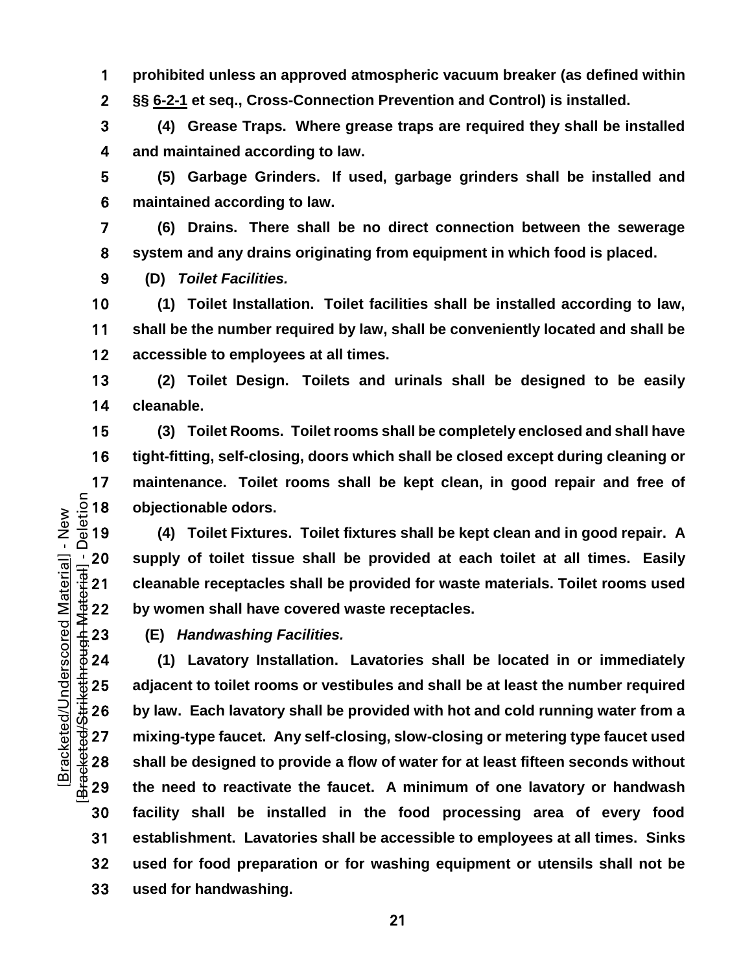**prohibited unless an approved atmospheric vacuum breaker (as defined within §§ 6-2-1 et seq., Cross-Connection Prevention and Control) is installed.**

**(4) Grease Traps. Where grease traps are required they shall be installed and maintained according to law.**

**(5) Garbage Grinders. If used, garbage grinders shall be installed and maintained according to law.**

**(6) Drains. There shall be no direct connection between the sewerage system and any drains originating from equipment in which food is placed.**

**(D)** *Toilet Facilities.*

**(1) Toilet Installation. Toilet facilities shall be installed according to law, shall be the number required by law, shall be conveniently located and shall be accessible to employees at all times.**

**(2) Toilet Design. Toilets and urinals shall be designed to be easily cleanable.**

**(3) Toilet Rooms. Toilet rooms shall be completely enclosed and shall have tight-fitting, self-closing, doors which shall be closed except during cleaning or**  maintenance. Toilet rooms shall be kept clean, in good repair and free of<br>  $\frac{5}{10}$  18 objectionable odors.<br>
4) Toilet Fixtures. Toilet fixtures shall be kept clean and in good repair. A **objectionable odors.**

**(4) Toilet Fixtures. Toilet fixtures shall be kept clean and in good repair. A**  20 supply of toilet tissue shall be provided at each toilet at all times. Easily<br>  $\frac{1}{3}$  cleanable receptacles shall be provided for waste materials. Toilet rooms used<br>
by women shall have covered waste receptacles.<br> **cleanable receptacles shall be provided for waste materials. Toilet rooms used**  by women shall have covered waste receptacles.

**(E)** *Handwashing Facilities.*

**(1) Lavatory Installation. Lavatories shall be located in or immediately**  adjacent to toilet rooms or vestibules and shall be at least the number required<br>  $\frac{4}{30}$  26 by law. Each lavatory shall be provided with hot and cold running water from a<br>  $\frac{4}{30}$  27 mixing-type faucet. Any self-clo **by law. Each lavatory shall be provided with hot and cold running water from a mixing-type faucet. Any self-closing, slow-closing or metering type faucet used shall be designed to provide a flow of water for at least fifteen seconds without the need to reactivate the faucet. A minimum of one lavatory or handwash facility shall be installed in the food processing area of every food establishment. Lavatories shall be accessible to employees at all times. Sinks used for food preparation or for washing equipment or utensils shall not be used for handwashing.**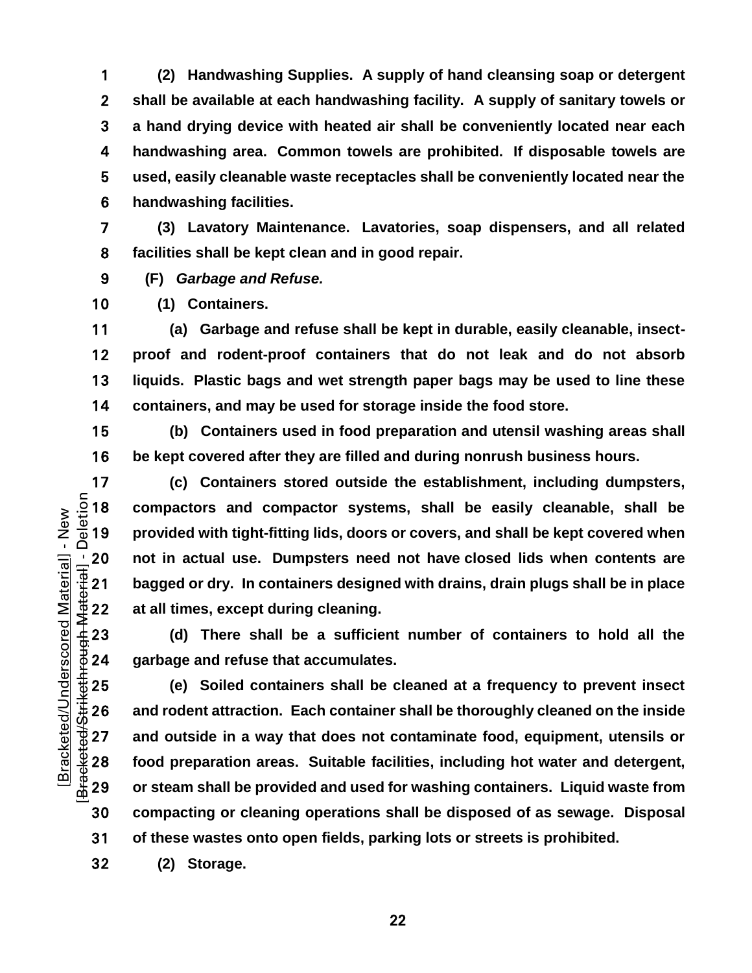**(2) Handwashing Supplies. A supply of hand cleansing soap or detergent shall be available at each handwashing facility. A supply of sanitary towels or a hand drying device with heated air shall be conveniently located near each handwashing area. Common towels are prohibited. If disposable towels are used, easily cleanable waste receptacles shall be conveniently located near the handwashing facilities.**

**(3) Lavatory Maintenance. Lavatories, soap dispensers, and all related facilities shall be kept clean and in good repair.**

**(F)** *Garbage and Refuse.*

**(1) Containers.**

**(a) Garbage and refuse shall be kept in durable, easily cleanable, insect-proof and rodent-proof containers that do not leak and do not absorb liquids. Plastic bags and wet strength paper bags may be used to line these containers, and may be used for storage inside the food store.**

**(b) Containers used in food preparation and utensil washing areas shall be kept covered after they are filled and during nonrush business hours.**

**(c)** Containers stored outside the establishment, including dumpsters,<br>  $\frac{5}{4}$  18 compactors and compactor systems, shall be easily cleanable, shall be<br>  $\frac{1}{4}$  19 provided with tight-fitting lids, doors or covers **compactors and compactor systems, shall be easily cleanable, shall be provided with tight-fitting lids, doors or covers, and shall be kept covered when**  120 not in actual use. Dumpsters need not have closed lids when contents are<br>  $\frac{1}{3}$  21 bagged or dry. In containers designed with drains, drain plugs shall be in place<br>
at all times, except during cleaning.<br>
423 (d) T **bagged or dry. In containers designed with drains, drain plugs shall be in place**  at all times, except during cleaning.

**(d) There shall be a sufficient number of containers to hold all the garbage and refuse that accumulates.**

**EXECTE 25** (e) Soiled containers shall be cleaned at a frequency to prevent insect<br>  $\frac{1}{2}$  26 and rodent attraction. Each container shall be thoroughly cleaned on the inside<br>
and outside in a way that does not contamin **and rodent attraction. Each container shall be thoroughly cleaned on the inside**  and outside in a way that does not contaminate food, equipment, utensils or **food preparation areas. Suitable facilities, including hot water and detergent, or steam shall be provided and used for washing containers. Liquid waste from compacting or cleaning operations shall be disposed of as sewage. Disposal of these wastes onto open fields, parking lots or streets is prohibited.**

**(2) Storage.**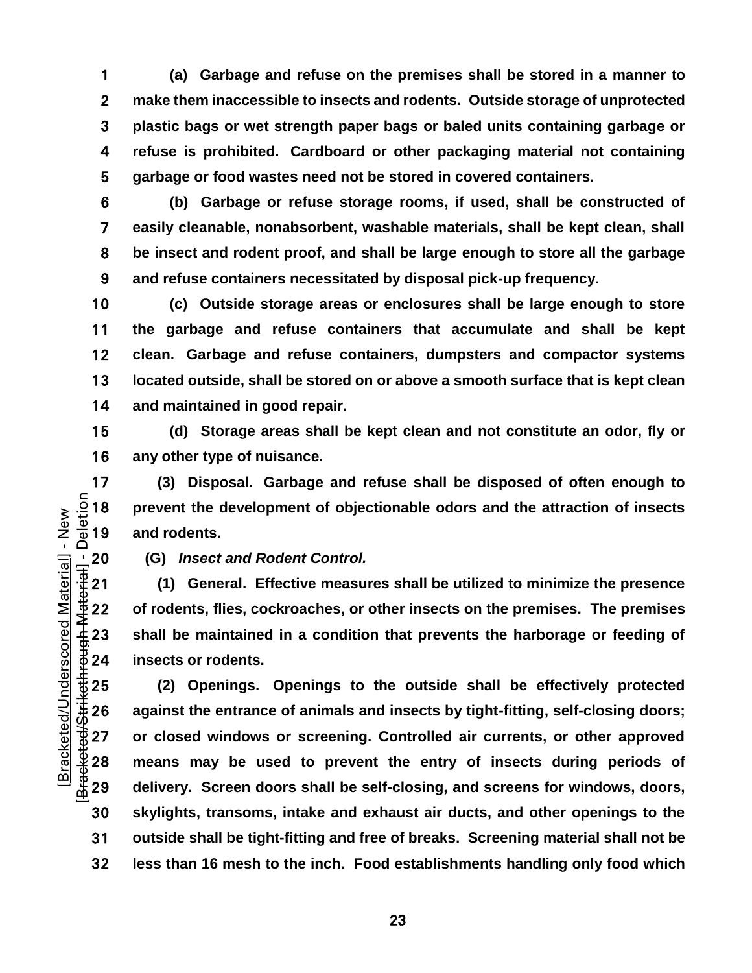**(a) Garbage and refuse on the premises shall be stored in a manner to make them inaccessible to insects and rodents. Outside storage of unprotected plastic bags or wet strength paper bags or baled units containing garbage or refuse is prohibited. Cardboard or other packaging material not containing garbage or food wastes need not be stored in covered containers.**

**(b) Garbage or refuse storage rooms, if used, shall be constructed of easily cleanable, nonabsorbent, washable materials, shall be kept clean, shall be insect and rodent proof, and shall be large enough to store all the garbage and refuse containers necessitated by disposal pick-up frequency.**

**(c) Outside storage areas or enclosures shall be large enough to store the garbage and refuse containers that accumulate and shall be kept clean. Garbage and refuse containers, dumpsters and compactor systems located outside, shall be stored on or above a smooth surface that is kept clean and maintained in good repair.**

**(d) Storage areas shall be kept clean and not constitute an odor, fly or any other type of nuisance.**

17 (3) Disposal. Garbage and refuse shall be disposed of often enough to<br>  $\frac{5}{9}$  18 prevent the development of objectionable odors and the attraction of insects<br>  $\frac{6}{9}$  19 and rodents. prevent the development of objectionable odors and the attraction of insects and rodents.

20 **(G)** *Insect and Rodent Control.*<br>  $\frac{1}{4}$  21 **(1)** General. Effective measure<br>
22 of rodents, flies, cockroaches, or  $\frac{1}{4}$ <br>
23 shall be maintained in a conditio<br>
24 insects or rodents. **(1) General. Effective measures shall be utilized to minimize the presence of rodents, flies, cockroaches, or other insects on the premises. The premises**  shall be maintained in a condition that prevents the harborage or feeding of insects or rodents.

25 (2) Openings. Openings to the outside shall be effectively protected against the entrance of animals and insects by tight-fitting, self-closing doors; or closed windows or screening. Controlled air currents, or other ap **against the entrance of animals and insects by tight-fitting, self-closing doors; or closed windows or screening. Controlled air currents, or other approved means may be used to prevent the entry of insects during periods of delivery. Screen doors shall be self-closing, and screens for windows, doors, skylights, transoms, intake and exhaust air ducts, and other openings to the outside shall be tight-fitting and free of breaks. Screening material shall not be less than 16 mesh to the inch. Food establishments handling only food which** 

<u>23</u>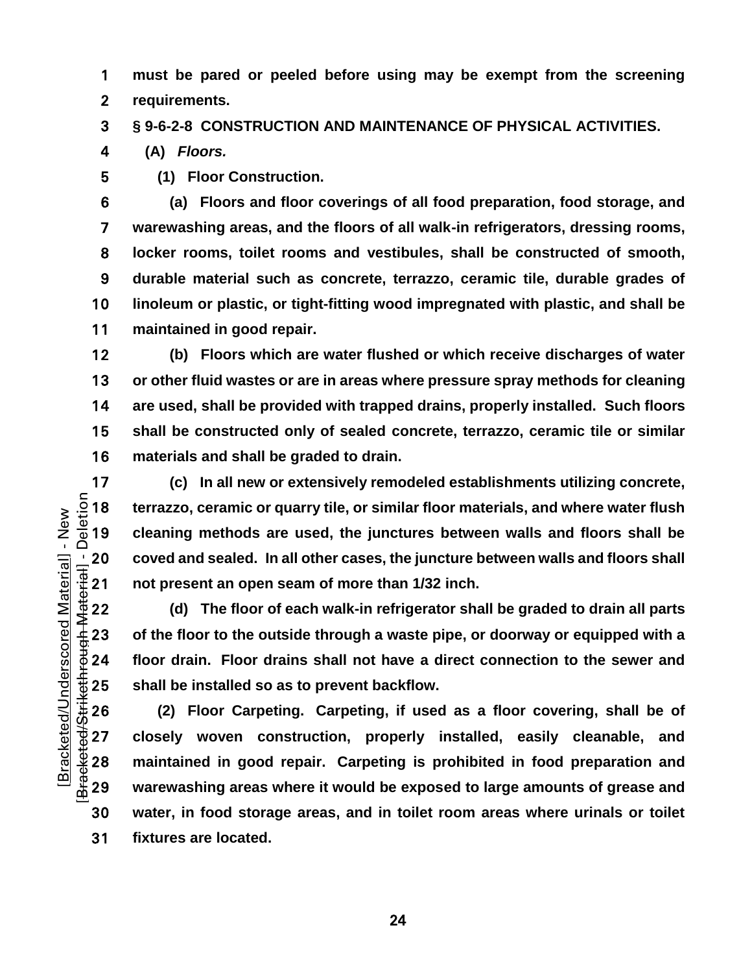**must be pared or peeled before using may be exempt from the screening requirements.**

**§ 9-6-2-8 CONSTRUCTION AND MAINTENANCE OF PHYSICAL ACTIVITIES.**

**(A)** *Floors.*

**(1) Floor Construction.**

**(a) Floors and floor coverings of all food preparation, food storage, and warewashing areas, and the floors of all walk-in refrigerators, dressing rooms, locker rooms, toilet rooms and vestibules, shall be constructed of smooth, durable material such as concrete, terrazzo, ceramic tile, durable grades of linoleum or plastic, or tight-fitting wood impregnated with plastic, and shall be maintained in good repair.**

**(b) Floors which are water flushed or which receive discharges of water or other fluid wastes or are in areas where pressure spray methods for cleaning are used, shall be provided with trapped drains, properly installed. Such floors shall be constructed only of sealed concrete, terrazzo, ceramic tile or similar materials and shall be graded to drain.**

**(c)** In all new or extensively remodeled establishments utilizing concrete,<br>  $\frac{5}{2}$  18 terrazzo, ceramic or quarry tile, or similar floor materials, and where water flush<br>  $\frac{5}{4}$  19 cleaning methods are used, the **terrazzo, ceramic or quarry tile, or similar floor materials, and where water flush cleaning methods are used, the junctures between walls and floors shall be**  not present an open seam of more than 1/32 inch.

20 coved and sealed. In all other cases, the juncture between walls and floors shall<br>  $\frac{1}{3}$  and present an open seam of more than 1/32 inch.<br>
22 (d) The floor of each walk-in refrigerator shall be graded to drain all **(d) The floor of each walk-in refrigerator shall be graded to drain all parts of the floor to the outside through a waste pipe, or doorway or equipped with a floor drain. Floor drains shall not have a direct connection to the sewer and** 

 $+$ ⇒ 25 shall be installed so as to prevent backflow.<br>  $+$ 26 (2) Floor Carpeting. Carpeting, if used<br>  $+$ 27 closely woven construction, properly i<br>  $+$ 28 maintained in good repair. Carpeting is properly<br>  $+$ 29 warewa **(2) Floor Carpeting. Carpeting, if used as a floor covering, shall be of closely woven construction, properly installed, easily cleanable, and maintained in good repair. Carpeting is prohibited in food preparation and**  warewashing areas where it would be exposed to large amounts of grease and **water, in food storage areas, and in toilet room areas where urinals or toilet fixtures are located.**

 $\sim$  24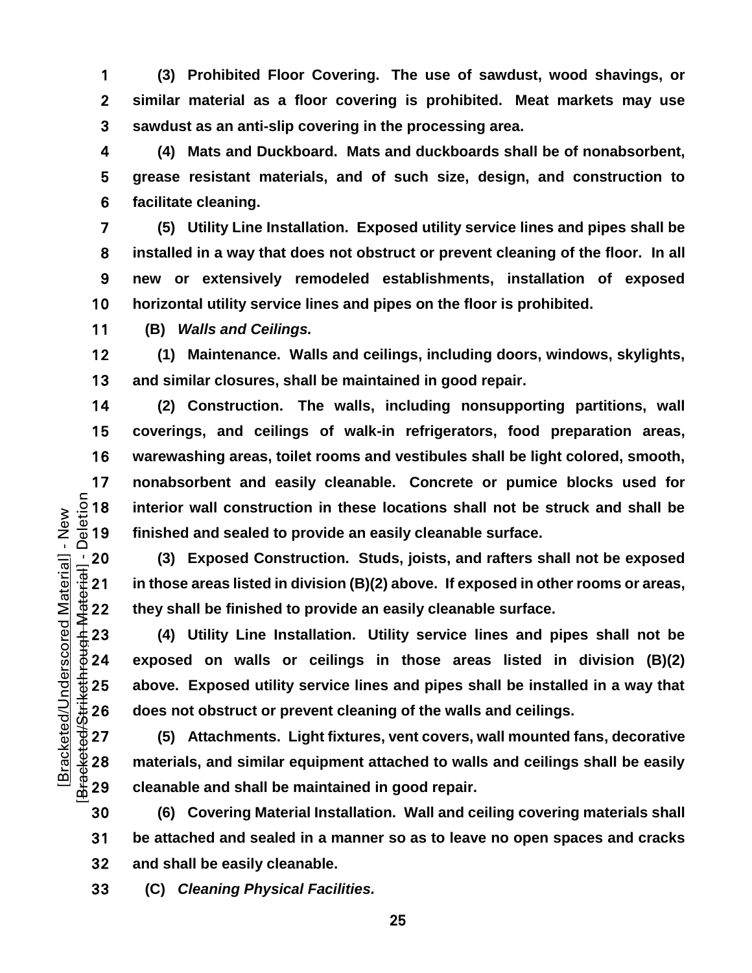**(3) Prohibited Floor Covering. The use of sawdust, wood shavings, or similar material as a floor covering is prohibited. Meat markets may use sawdust as an anti-slip covering in the processing area.**

**(4) Mats and Duckboard. Mats and duckboards shall be of nonabsorbent, grease resistant materials, and of such size, design, and construction to facilitate cleaning.**

**(5) Utility Line Installation. Exposed utility service lines and pipes shall be installed in a way that does not obstruct or prevent cleaning of the floor. In all new or extensively remodeled establishments, installation of exposed horizontal utility service lines and pipes on the floor is prohibited.**

**(B)** *Walls and Ceilings.*

**(1) Maintenance. Walls and ceilings, including doors, windows, skylights, and similar closures, shall be maintained in good repair.**

**(2) Construction. The walls, including nonsupporting partitions, wall coverings, and ceilings of walk-in refrigerators, food preparation areas, warewashing areas, toilet rooms and vestibules shall be light colored, smooth, nonabsorbent and easily cleanable. Concrete or pumice blocks used for**<br> $\frac{5}{2}$  18 **interior wall construction in these locations shall not be struck and shall be**<br> $\frac{1}{2}$  19 **finished and sealed to provide an easi** interior wall construction in these locations shall not be struck and shall be finished and sealed to provide an easily cleanable surface.

20 (3) Exposed Construction. Studs, joists, and rafters shall not be exposed<br>  $\frac{1}{3}$  21 in those areas listed in division (B)(2) above. If exposed in other rooms or areas,<br>
22 they shall be finished to provide an easil **in those areas listed in division (B)(2) above. If exposed in other rooms or areas, they shall be finished to provide an easily cleanable surface.**

**(4) Utility Line Installation. Utility service lines and pipes shall not be exposed on walls or ceilings in those areas listed in division (B)(2) does not obstruct or prevent cleaning of the walls and ceilings.**

<sup>‡</sup>/⇒ 25 above. Exposed utility service lines and pipes shall be installed in a way that<br>
‡26 does not obstruct or prevent cleaning of the walls and ceilings.<br>
27 (5) Attachments. Light fixtures, vent covers, wall mounted **(5) Attachments. Light fixtures, vent covers, wall mounted fans, decorative materials, and similar equipment attached to walls and ceilings shall be easily cleanable and shall be maintained in good repair.**

**(6) Covering Material Installation. Wall and ceiling covering materials shall be attached and sealed in a manner so as to leave no open spaces and cracks and shall be easily cleanable.**

**(C)** *Cleaning Physical Facilities.*

 $\sim$  25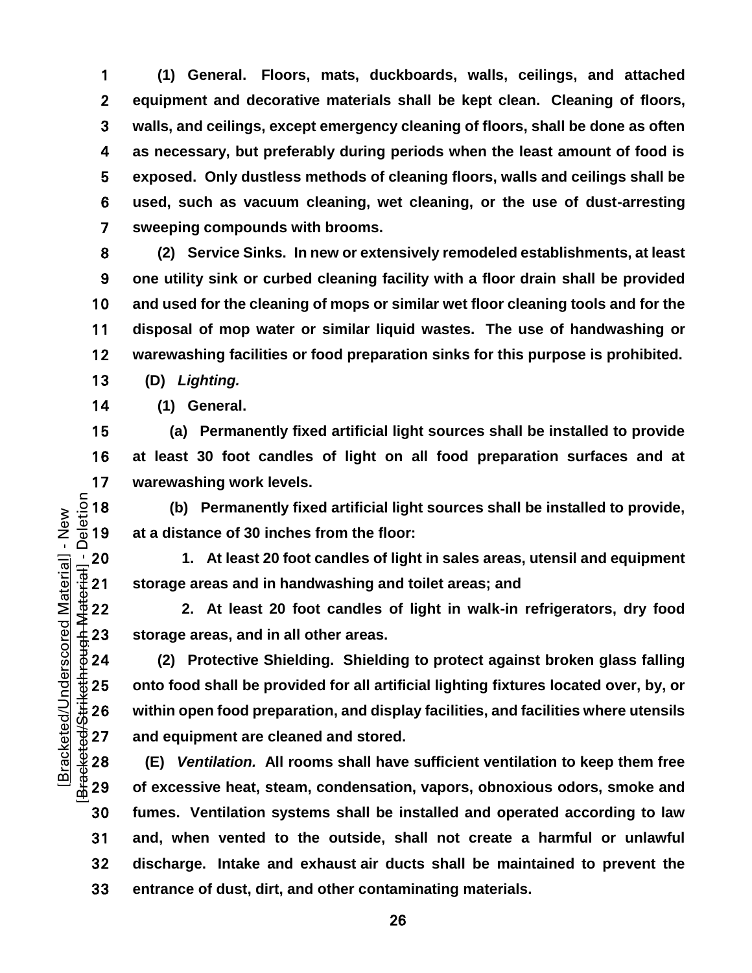**(1) General. Floors, mats, duckboards, walls, ceilings, and attached equipment and decorative materials shall be kept clean. Cleaning of floors, walls, and ceilings, except emergency cleaning of floors, shall be done as often as necessary, but preferably during periods when the least amount of food is exposed. Only dustless methods of cleaning floors, walls and ceilings shall be used, such as vacuum cleaning, wet cleaning, or the use of dust-arresting sweeping compounds with brooms.**

**(2) Service Sinks. In new or extensively remodeled establishments, at least one utility sink or curbed cleaning facility with a floor drain shall be provided and used for the cleaning of mops or similar wet floor cleaning tools and for the disposal of mop water or similar liquid wastes. The use of handwashing or warewashing facilities or food preparation sinks for this purpose is prohibited.**

**(D)** *Lighting.*

**(1) General.**

**(a) Permanently fixed artificial light sources shall be installed to provide at least 30 foot candles of light on all food preparation surfaces and at** 

17 warewashing work levels.<br> $\frac{5}{8}$  18 (b) Permanently fixe<br> $\frac{5}{8}$  19 at a distance of 30 inches **(b) Permanently fixed artificial light sources shall be installed to provide,**  at a distance of 30 inches from the floor:

**1. At least 20 foot candles of light in sales areas, utensil and equipment storage areas and in handwashing and toilet areas; and**

**2. At least 20 foot candles of light in walk-in refrigerators, dry food storage areas, and in all other areas.**

**(2) Protective Shielding. Shielding to protect against broken glass falling**  <del>4</del><br>25 onto food shall be provided for all artificial lighting fixtures located over, by, or<br>  $\frac{11}{30}$ <br>26 within open food preparation, and display facilities, and facilities where utensils<br>27 and equipment are cleaned **within open food preparation, and display facilities, and facilities where utensils**  and equipment are cleaned and stored.

**(E)** *Ventilation.* **All rooms shall have sufficient ventilation to keep them free of excessive heat, steam, condensation, vapors, obnoxious odors, smoke and fumes. Ventilation systems shall be installed and operated according to law and, when vented to the outside, shall not create a harmful or unlawful discharge. Intake and exhaust air ducts shall be maintained to prevent the entrance of dust, dirt, and other contaminating materials.**

 $\sim$  26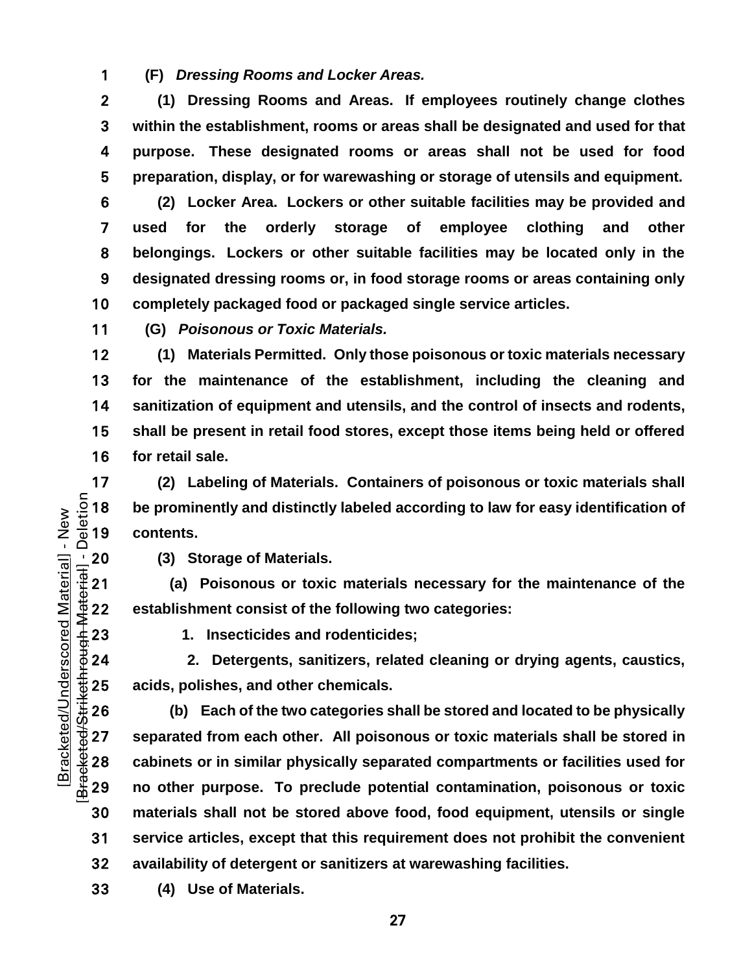**(F)** *Dressing Rooms and Locker Areas.*

**(1) Dressing Rooms and Areas. If employees routinely change clothes within the establishment, rooms or areas shall be designated and used for that purpose. These designated rooms or areas shall not be used for food preparation, display, or for warewashing or storage of utensils and equipment.**

**(2) Locker Area. Lockers or other suitable facilities may be provided and used for the orderly storage of employee clothing and other belongings. Lockers or other suitable facilities may be located only in the designated dressing rooms or, in food storage rooms or areas containing only completely packaged food or packaged single service articles.**

**(G)** *Poisonous or Toxic Materials.*

**(1) Materials Permitted. Only those poisonous or toxic materials necessary for the maintenance of the establishment, including the cleaning and sanitization of equipment and utensils, and the control of insects and rodents, shall be present in retail food stores, except those items being held or offered for retail sale.**

17 (2) Labeling of Materials. Containers of poisonous or toxic materials shall<br>  $\frac{5}{8}$  18 be prominently and distinctly labeled according to law for easy identification of<br>  $\frac{3}{8}$  19 contents. be prominently and distinctly labeled according to law for easy identification of contents.

 $\frac{1}{20}$  (3) Storage of Materials.<br>  $\frac{1}{22}$  (a) Poisonous or toxic<br>  $22$  establishment consist of the<br>  $\frac{1}{22}$  23 1. Insecticides and re<br>  $24$  2. Detergents, saniti **(a) Poisonous or toxic materials necessary for the maintenance of the establishment consist of the following two categories:** 

**1. Insecticides and rodenticides;**

**2. Detergents, sanitizers, related cleaning or drying agents, caustics,** 

 $+$ ⇒<br>
⇒<br>
25 acids, polishes, and other chemicals.<br>  $+$ <br>
26 (b) Each of the two categories s<br>
⇒<br>
27 separated from each other. All poiso<br>
⇒<br>
28 cabinets or in similar physically sepa **(b) Each of the two categories shall be stored and located to be physically separated from each other. All poisonous or toxic materials shall be stored in cabinets or in similar physically separated compartments or facilities used for no other purpose. To preclude potential contamination, poisonous or toxic materials shall not be stored above food, food equipment, utensils or single service articles, except that this requirement does not prohibit the convenient availability of detergent or sanitizers at warewashing facilities.**

**(4) Use of Materials.**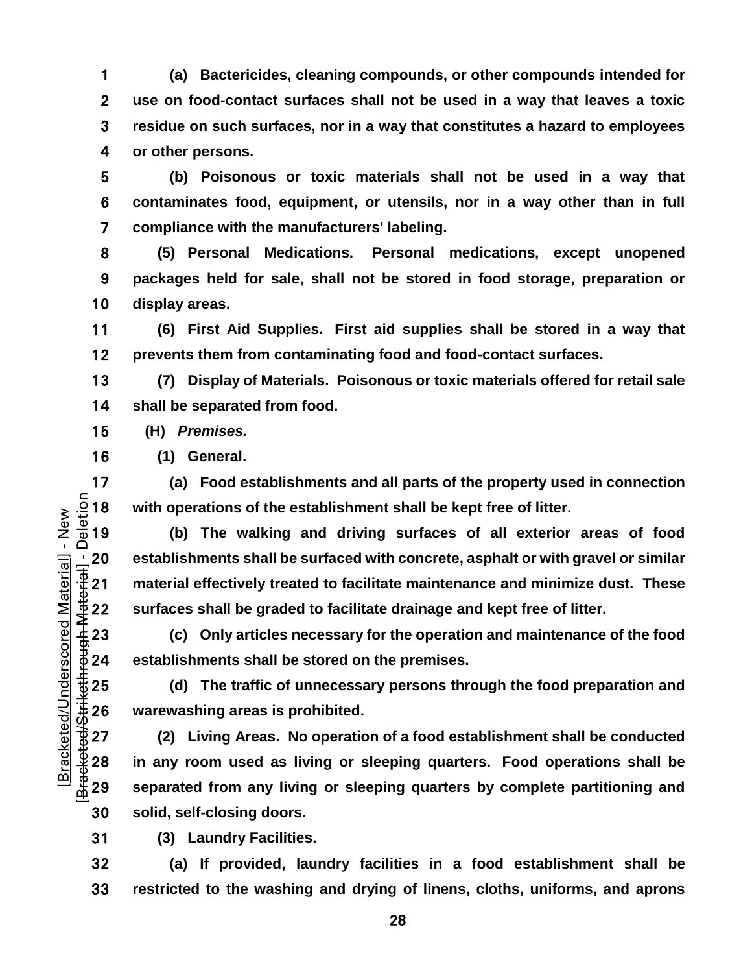**(a) Bactericides, cleaning compounds, or other compounds intended for use on food-contact surfaces shall not be used in a way that leaves a toxic residue on such surfaces, nor in a way that constitutes a hazard to employees or other persons.**

**(b) Poisonous or toxic materials shall not be used in a way that contaminates food, equipment, or utensils, nor in a way other than in full compliance with the manufacturers' labeling.**

**(5) Personal Medications. Personal medications, except unopened packages held for sale, shall not be stored in food storage, preparation or display areas.**

**(6) First Aid Supplies. First aid supplies shall be stored in a way that prevents them from contaminating food and food-contact surfaces.**

**(7) Display of Materials. Poisonous or toxic materials offered for retail sale shall be separated from food.**

**(H)** *Premises.*

**(1) General.**

17 **(a) Food establishments and all parts of the property used in connection**<br>  $\frac{5}{10}$  18 **with operations of the establishment shall be kept free of litter.**<br> **(b)** The walking and driving surfaces of all exterior area with operations of the establishment shall be kept free of litter.

**(b) The walking and driving surfaces of all exterior areas of food**  establishments shall be surfaced with concrete, asphalt or with gravel or similar material effectively treated to facilitate maintenance and minimize dust. These surfaces shall be graded to facilitate drainage and ke **material effectively treated to facilitate maintenance and minimize dust. These surfaces shall be graded to facilitate drainage and kept free of litter.**

**(c) Only articles necessary for the operation and maintenance of the food**  establishments shall be stored on the premises.

**warewashing areas is prohibited.**

d) The traffic of unnecessary persons through the food preparation and<br>
∴#26 warewashing areas is prohibited.<br>
27 (2) Living Areas. No operation of a food establishment shall be conducted<br>
28 in any room used as living or **(2) Living Areas. No operation of a food establishment shall be conducted in any room used as living or sleeping quarters. Food operations shall be separated from any living or sleeping quarters by complete partitioning and solid, self-closing doors.**

**(3) Laundry Facilities.**

**(a) If provided, laundry facilities in a food establishment shall be restricted to the washing and drying of linens, cloths, uniforms, and aprons**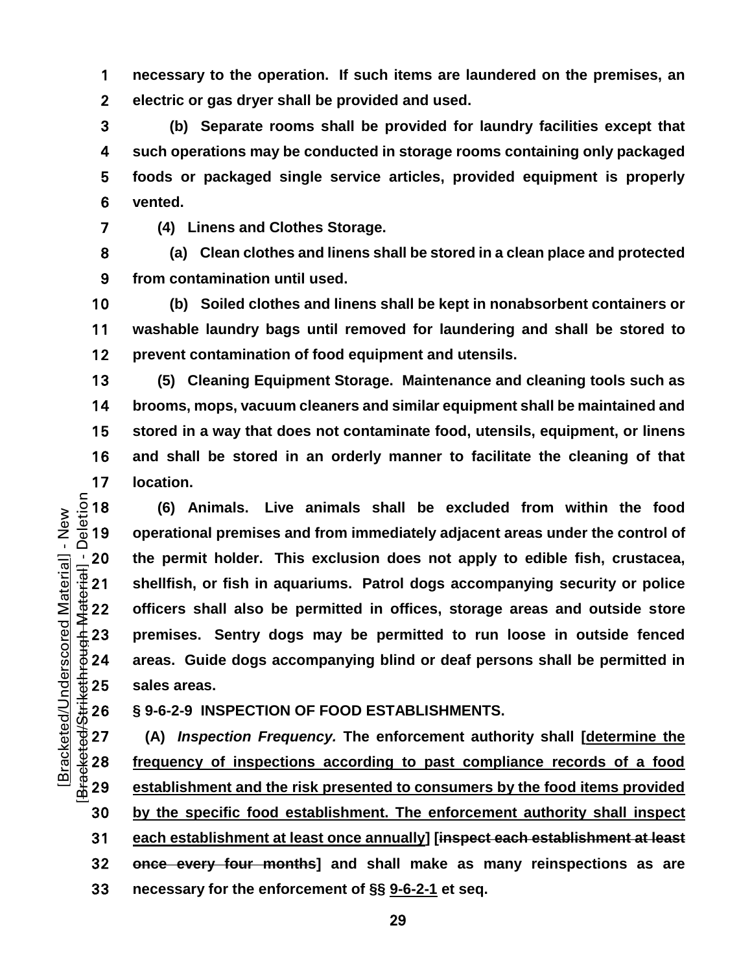**necessary to the operation. If such items are laundered on the premises, an electric or gas dryer shall be provided and used.**

**(b) Separate rooms shall be provided for laundry facilities except that such operations may be conducted in storage rooms containing only packaged foods or packaged single service articles, provided equipment is properly vented.**

**(4) Linens and Clothes Storage.**

**(a) Clean clothes and linens shall be stored in a clean place and protected from contamination until used.**

**(b) Soiled clothes and linens shall be kept in nonabsorbent containers or washable laundry bags until removed for laundering and shall be stored to prevent contamination of food equipment and utensils.**

**(5) Cleaning Equipment Storage. Maintenance and cleaning tools such as brooms, mops, vacuum cleaners and similar equipment shall be maintained and stored in a way that does not contaminate food, utensils, equipment, or linens and shall be stored in an orderly manner to facilitate the cleaning of that** 

**location.**<br>  $\frac{c}{2}$  18 (6) A<br>  $\frac{c}{2}$  19 operation **(6) Animals. Live animals shall be excluded from within the food operational premises and from immediately adjacent areas under the control of**  20 the permit holder. This exclusion does not apply to edible fish, crustacea,<br>  $\frac{1}{3}$  21 shellfish, or fish in aquariums. Patrol dogs accompanying security or police<br>
22 officers shall also be permitted in offices, st **shellfish, or fish in aquariums. Patrol dogs accompanying security or police officers shall also be permitted in offices, storage areas and outside store premises. Sentry dogs may be permitted to run loose in outside fenced areas. Guide dogs accompanying blind or deaf persons shall be permitted in** 

**§ 9-6-2-9 INSPECTION OF FOOD ESTABLISHMENTS.**

 $+6.31$ <br>  $+6.31$ <br>  $+6.31$ <br>  $+6.31$ <br>  $+6.31$ <br>  $+6.31$ <br>  $+6.31$ <br>  $+6.31$ <br>  $+6.31$ <br>  $+6.31$ <br>  $+6.31$ <br>  $+6.31$ <br>  $+6.31$ <br>  $+6.31$ <br>  $+6.31$ <br>  $+6.31$ <br>  $+6.31$ <br>  $+6.31$ <br>  $+6.31$ <br>  $+6.31$ <br>  $+6.31$ <br>  $+6.31$ <br>  $+6.31$ <br>  $+6.31$ <br>  $+6.3$ **(A)** *Inspection Frequency.* **The enforcement authority shall [determine the frequency of inspections according to past compliance records of a food establishment and the risk presented to consumers by the food items provided by the specific food establishment. The enforcement authority shall inspect each establishment at least once annually] [inspect each establishment at least once every four months] and shall make as many reinspections as are necessary for the enforcement of §§ [9-6-2-1](https://codelibrary.amlegal.com/codes/albuquerque/latest/albuquerque_nm/0-0-0-11948#JD_9-6-2-1) et seq.**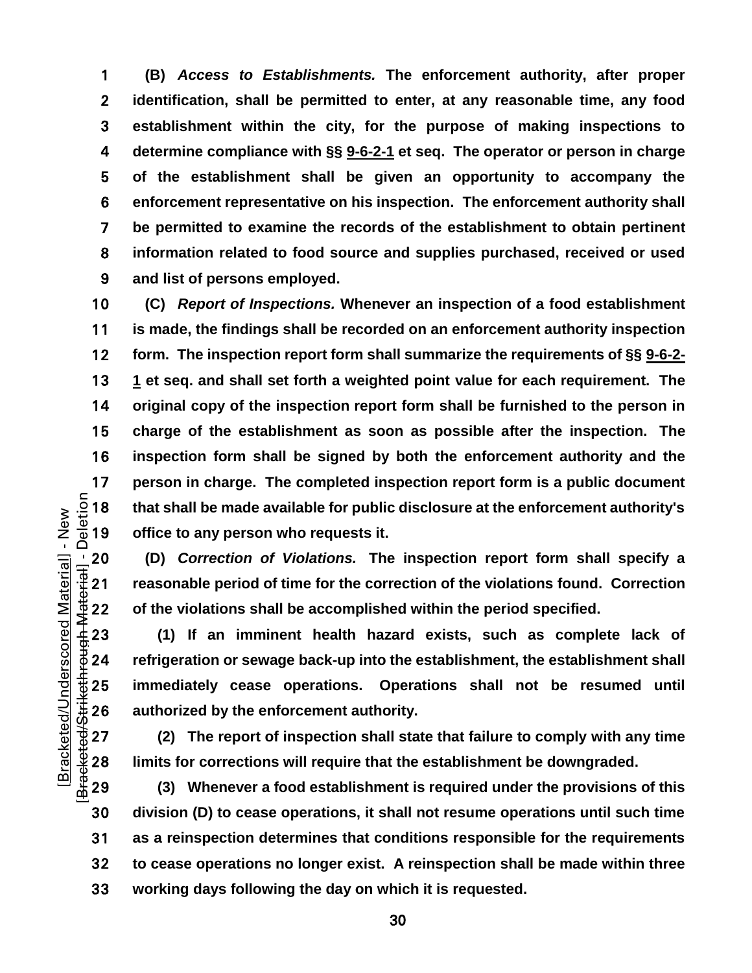**(B)** *Access to Establishments.* **The enforcement authority, after proper identification, shall be permitted to enter, at any reasonable time, any food establishment within the city, for the purpose of making inspections to determine compliance with §§ [9-6-2-1](https://codelibrary.amlegal.com/codes/albuquerque/latest/albuquerque_nm/0-0-0-11948#JD_9-6-2-1) et seq. The operator or person in charge of the establishment shall be given an opportunity to accompany the enforcement representative on his inspection. The enforcement authority shall be permitted to examine the records of the establishment to obtain pertinent information related to food source and supplies purchased, received or used and list of persons employed.**

**(C)** *Report of Inspections.* **Whenever an inspection of a food establishment is made, the findings shall be recorded on an enforcement authority inspection form. The inspection report form shall summarize the requirements of §§ [9-6-2-](https://codelibrary.amlegal.com/codes/albuquerque/latest/albuquerque_nm/0-0-0-11948#JD_9-6-2-1) [1](https://codelibrary.amlegal.com/codes/albuquerque/latest/albuquerque_nm/0-0-0-11948#JD_9-6-2-1) et seq. and shall set forth a weighted point value for each requirement. The original copy of the inspection report form shall be furnished to the person in charge of the establishment as soon as possible after the inspection. The inspection form shall be signed by both the enforcement authority and the person in charge.** The completed inspection report form is a public document<br>  $\frac{5}{9}$  18 **that shall be made available for public disclosure at the enforcement authority's<br>**  $\frac{5}{9}$  **19 <b>office to any person who req that shall be made available for public disclosure at the enforcement authority's**  office to any person who requests it.

**(D)** Correction of Violations. The inspection report form shall specify a reasonable period of time for the correction of the violations found. Correction of the violations shall be accomplished within the period spec **reasonable period of time for the correction of the violations found. Correction of the violations shall be accomplished within the period specified.**

**(1) If an imminent health hazard exists, such as complete lack of refrigeration or sewage back-up into the establishment, the establishment shall**  <del>1</del><br>
25 **immediately cease operations. Operations shall not be resumed until<br>
26 authorized by the enforcement authority.<br>
27 (2) The report of inspection shall state that failure to comply with any time<br>
27 (2) The repor** authorized by the enforcement authority.

**(2) The report of inspection shall state that failure to comply with any time limits for corrections will require that the establishment be downgraded.**

**(3) Whenever a food establishment is required under the provisions of this division (D) to cease operations, it shall not resume operations until such time as a reinspection determines that conditions responsible for the requirements to cease operations no longer exist. A reinspection shall be made within three working days following the day on which it is requested.**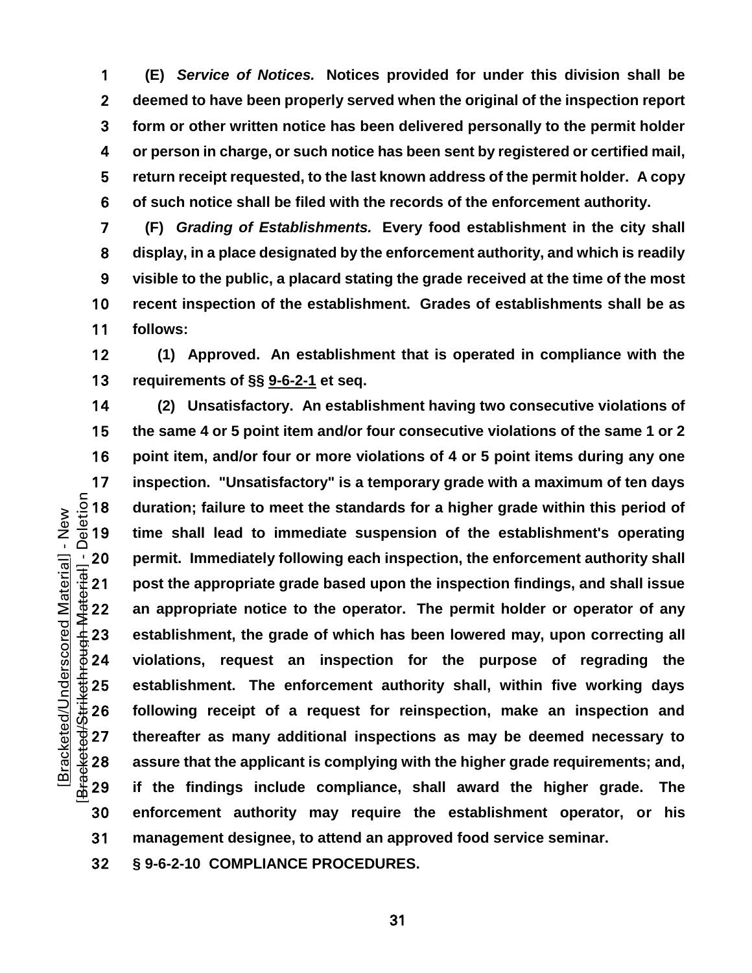**(E)** *Service of Notices.* **Notices provided for under this division shall be deemed to have been properly served when the original of the inspection report form or other written notice has been delivered personally to the permit holder or person in charge, or such notice has been sent by registered or certified mail, return receipt requested, to the last known address of the permit holder. A copy of such notice shall be filed with the records of the enforcement authority.**

**(F)** *Grading of Establishments.* **Every food establishment in the city shall display, in a place designated by the enforcement authority, and which is readily visible to the public, a placard stating the grade received at the time of the most recent inspection of the establishment. Grades of establishments shall be as follows:**

**(1) Approved. An establishment that is operated in compliance with the requirements of §§ [9-6-2-1](https://codelibrary.amlegal.com/codes/albuquerque/latest/albuquerque_nm/0-0-0-11948#JD_9-6-2-1) et seq.**

**(2) Unsatisfactory. An establishment having two consecutive violations of the same 4 or 5 point item and/or four consecutive violations of the same 1 or 2 point item, and/or four or more violations of 4 or 5 point items during any one**  17 inspection. "Unsatisfactory" is a temporary grade with a maximum of ten days<br>  $\frac{5}{2}$  18 duration; failure to meet the standards for a higher grade within this period of<br>  $\frac{1}{2}$  19 time shall lead to immediate sus duration; failure to meet the standards for a higher grade within this period of **time shall lead to immediate suspension of the establishment's operating**  permit. Immediately following each inspection, the enforcement authority shall<br>
post the appropriate grade based upon the inspection findings, and shall issue<br>
an appropriate notice to the operator. The permit holder or op **post the appropriate grade based upon the inspection findings, and shall issue**  an appropriate notice to the operator. The permit holder or operator of any establishment, the grade of which has been lowered may, upon correcting all **violations, request an inspection for the purpose of regrading the establishment.** The enforcement authority shall, within five working days<br>  $\frac{1}{25}$  26 following receipt of a request for reinspection, make an inspection and<br>  $\frac{1}{25}$  27 thereafter as many additional inspections as **following receipt of a request for reinspection, make an inspection and thereafter as many additional inspections as may be deemed necessary to assure that the applicant is complying with the higher grade requirements; and, if the findings include compliance, shall award the higher grade. The enforcement authority may require the establishment operator, or his management designee, to attend an approved food service seminar.**

**§ 9-6-2-10 COMPLIANCE PROCEDURES.**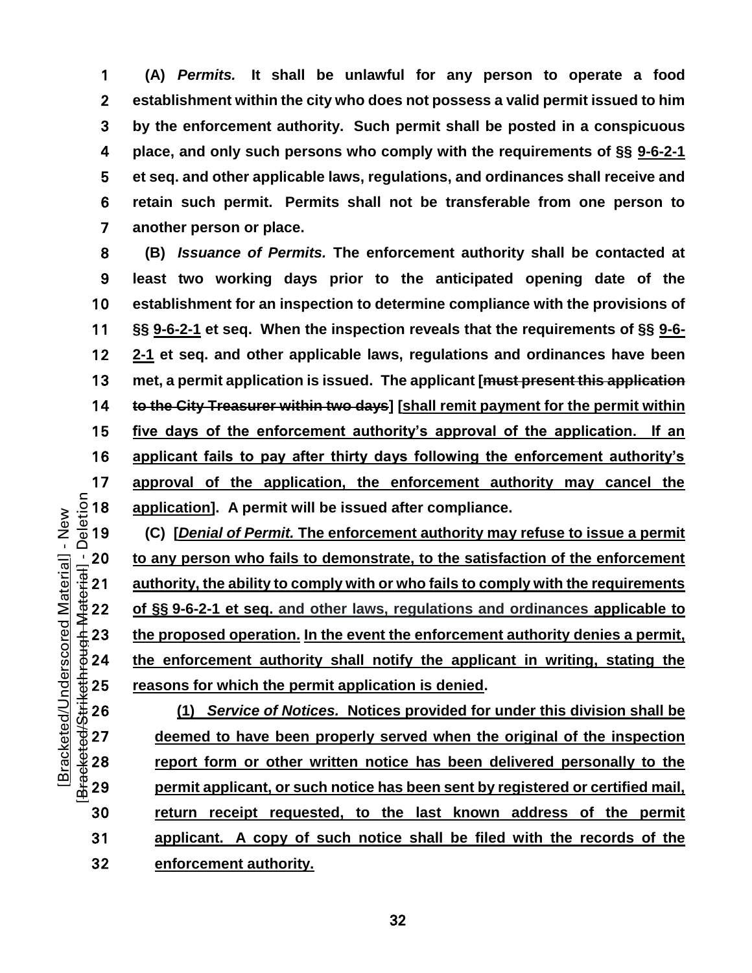**(A)** *Permits.* **It shall be unlawful for any person to operate a food establishment within the city who does not possess a valid permit issued to him by the enforcement authority. Such permit shall be posted in a conspicuous place, and only such persons who comply with the requirements of §§ 9-6-2-1 et seq. and other applicable laws, regulations, and ordinances shall receive and retain such permit. Permits shall not be transferable from one person to another person or place.** 

**(B)** *Issuance of Permits.* **The enforcement authority shall be contacted at least two working days prior to the anticipated opening date of the establishment for an inspection to determine compliance with the provisions of §§ 9-6-2-1 et seq. When the inspection reveals that the requirements of §§ 9-6- 2-1 et seq. and other applicable laws, regulations and ordinances have been met, a permit application is issued. The applicant [must present this application to the City Treasurer within two days] [shall remit payment for the permit within five days of the enforcement authority's approval of the application. If an applicant fails to pay after thirty days following the enforcement authority's approval of the application, the enforcement authority may cancel the application]. A permit will be issued after compliance.**

**(C) [***Denial of Permit.* **The enforcement authority may refuse to issue a permit to any person who fails to demonstrate, to the satisfaction of the enforcement**<br>  $\frac{1}{2}$  21 **authority, the ability to comply with or who fails to comply with the requirements**<br>
22 **of §§ 9-6-2-1 et seq. and other l authority, the ability to comply with or who fails to comply with the requirements of §§ [9-6-2-1](https://codelibrary.amlegal.com/codes/albuquerque/latest/albuquerque_nm/0-0-0-11482#JD_9-6-1-1) et seq. and other laws, regulations and ordinances applicable to the proposed operation. In the event the enforcement authority denies a permit, the enforcement authority shall notify the applicant in writing, stating the** 

<del>2</del><br>
25 **reasons for which the permit application is denied.**<br>
26 (1) Service of Notices. Notices provided for<br>
27 **deemed to have been properly served when the verse of the properly served when the verse of the verse pro (1)** *Service of Notices.* **Notices provided for under this division shall be deemed to have been properly served when the original of the inspection report form or other written notice has been delivered personally to the**  permit applicant, or such notice has been sent by registered or certified mail, **return receipt requested, to the last known address of the permit applicant. A copy of such notice shall be filed with the records of the enforcement authority.**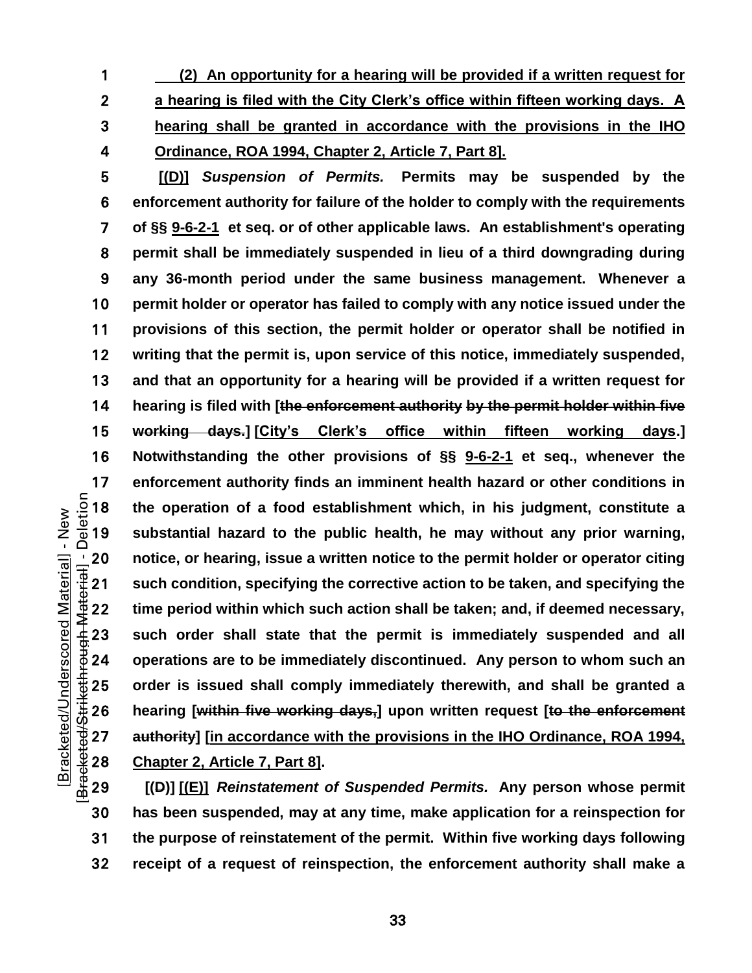**(2) An opportunity for a hearing will be provided if a written request for** 

**a hearing is filed with the City Clerk's office within fifteen working days. A** 

**hearing shall be granted in accordance with the provisions in the IHO** 

- **Ordinance, ROA 1994, Chapter 2, Article 7, Part 8].**
- 

**[(D)]** *Suspension of Permits.* **Permits may be suspended by the enforcement authority for failure of the holder to comply with the requirements of §§ 9-6-2-1 et seq. or of other applicable laws. An establishment's operating permit shall be immediately suspended in lieu of a third downgrading during any 36-month period under the same business management. Whenever a permit holder or operator has failed to comply with any notice issued under the provisions of this section, the permit holder or operator shall be notified in writing that the permit is, upon service of this notice, immediately suspended, and that an opportunity for a hearing will be provided if a written request for hearing is filed with [the enforcement authority by the permit holder within five working days.] [City's Clerk's office within fifteen working days.] Notwithstanding the other provisions of §§ 9-6-2-1 et seq., whenever the enforcement authority finds an imminent health hazard or other conditions in the operation of a food establishment which, in his judgment, constitute a substantial hazard to the public health, he may without any prior warning,**  20 notice, or hearing, issue a written notice to the permit holder or operator citing<br>  $\frac{1}{3}$  21 such condition, specifying the corrective action to be taken, and specifying the<br>  $\frac{1}{3}$  22 time period within which s such condition, specifying the corrective action to be taken, and specifying the **time period within which such action shall be taken; and, if deemed necessary,**  such order shall state that the permit is immediately suspended and all **operations are to be immediately discontinued. Any person to whom such an**  order is issued shall comply immediately therewith, and shall be granted a<br>  $+\frac{1}{2}$ <br>
26 hearing [within five working days<sub>7</sub>] upon written request [to the enforcement<br>
27 authority] [in accordance with the provisions in **hearing [within five working days,] upon written request [to the enforcement**  authority] [in accordance with the provisions in the IHO Ordinance, ROA 1994, Chapter 2, Article 7, Part 8].

**[(D)] [(E)]** *Reinstatement of Suspended Permits.* **Any person whose permit has been suspended, may at any time, make application for a reinspection for the purpose of reinstatement of the permit. Within five working days following receipt of a request of reinspection, the enforcement authority shall make a**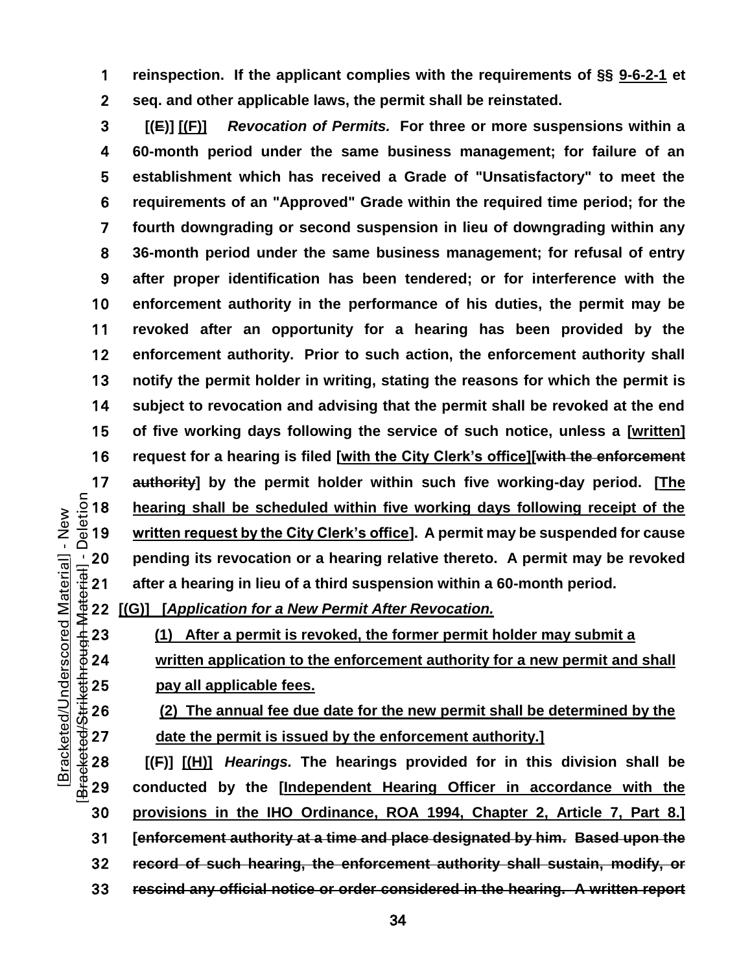**reinspection. If the applicant complies with the requirements of §§ 9-6-2-1 et seq. and other applicable laws, the permit shall be reinstated.**

**[(E)] [(F)]** *Revocation of Permits.* **For three or more suspensions within a 60-month period under the same business management; for failure of an establishment which has received a Grade of "Unsatisfactory" to meet the requirements of an "Approved" Grade within the required time period; for the fourth downgrading or second suspension in lieu of downgrading within any 36-month period under the same business management; for refusal of entry after proper identification has been tendered; or for interference with the enforcement authority in the performance of his duties, the permit may be revoked after an opportunity for a hearing has been provided by the enforcement authority. Prior to such action, the enforcement authority shall notify the permit holder in writing, stating the reasons for which the permit is subject to revocation and advising that the permit shall be revoked at the end of five working days following the service of such notice, unless a [written] request for a hearing is filed [with the City Clerk's office][with the enforcement authority**] by the permit holder within such five working-day period. [The  $\frac{5}{9}$  18 **hearing shall be scheduled within five working days following receipt of the**  $\frac{5}{9}$  **19 written request by the City Clerk's off** hearing shall be scheduled within five working days following receipt of the written request by the City Clerk's office]. A permit may be suspended for cause **pending its revocation or a hearing relative thereto. A permit may be revoked**  after a hearing in lieu of a third suspension within a 60-month period. **Example 19 120**<br>
22 **[(G)]** [*Application for a New Permit After Revocation*.<br>
<sup>1</sup>/<sub>2</sub> 22 **[(G)]** [*Application for a New Permit After Revocation*.<br>
<sup>2</sup>/<sub>2</sub> 22 **[(G)]** [*Application for a New Permit After Revocation*.<br>
<sup>2</sup>

**(1) After a permit is revoked, the former permit holder may submit a** 

**written application to the enforcement authority for a new permit and shall** 

**(2) The annual fee due date for the new permit shall be determined by the**  date the permit is issued by the enforcement authority.]

<del>25</del><br>
25 **pay all applicable fees.**<br>
26 (2) The annual fee due<br>
27 date the permit is issue<br>
28 [(<del>F</del>)] [(H)] *Hearings.* The<br>
29 conducted by the [<u>Indep</u> **[(F)] [(H)]** *Hearings.* **The hearings provided for in this division shall be conducted by the [Independent Hearing Officer in accordance with the provisions in the IHO Ordinance, ROA 1994, Chapter 2, Article 7, Part 8.] [enforcement authority at a time and place designated by him. Based upon the record of such hearing, the enforcement authority shall sustain, modify, or rescind any official notice or order considered in the hearing. A written report**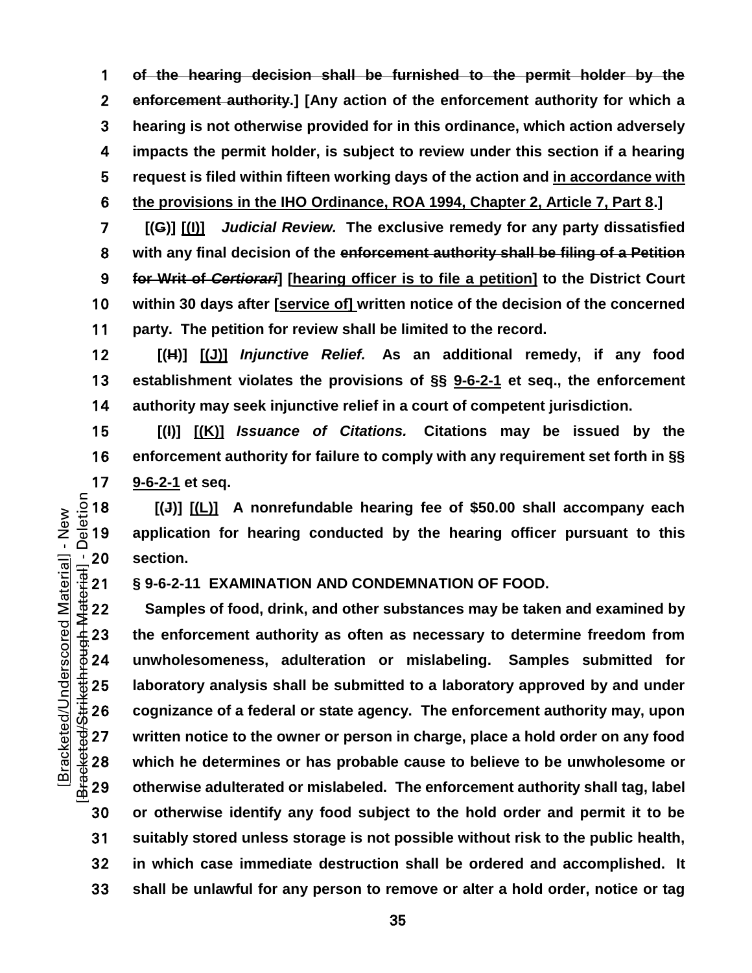**of the hearing decision shall be furnished to the permit holder by the enforcement authority.] [Any action of the enforcement authority for which a hearing is not otherwise provided for in this ordinance, which action adversely impacts the permit holder, is subject to review under this section if a hearing request is filed within fifteen working days of the action and in accordance with** 

**the provisions in the IHO Ordinance, ROA 1994, Chapter 2, Article 7, Part 8.]**

**[(G)] [(I)]** *Judicial Review.* **The exclusive remedy for any party dissatisfied with any final decision of the enforcement authority shall be filing of a Petition for Writ of** *Certiorari***] [hearing officer is to file a petition] to the District Court within 30 days after [service of] written notice of the decision of the concerned party. The petition for review shall be limited to the record.**

**[(H)] [(J)]** *Injunctive Relief.* **As an additional remedy, if any food establishment violates the provisions of §§ 9-6-2-1 et seq., the enforcement authority may seek injunctive relief in a court of competent jurisdiction.**

**[(I)] [(K)]** *Issuance of Citations.* **Citations may be issued by the enforcement authority for failure to comply with any requirement set forth in §§** 

17 **9-6-2-1** et seq.<br>  $\frac{5}{12}$  18 [(J)] <u>[(L)]</u><br>  $\frac{1}{4}$  19 application fo **[(J)] [(L)] A nonrefundable hearing fee of \$50.00 shall accompany each**  application for hearing conducted by the hearing officer pursuant to this

**§ 9-6-2-11 EXAMINATION AND CONDEMNATION OF FOOD.**

 $\frac{1}{4}$ <br>  $\frac{1}{4}$ <br>  $\frac{1}{4}$ <br>  $\frac{2}{4}$ <br>  $\frac{2}{4}$ <br>  $\frac{2}{4}$ <br>  $\frac{2}{4}$ <br>  $\frac{2}{4}$ <br>  $\frac{2}{4}$ <br>  $\frac{2}{4}$ <br>  $\frac{2}{4}$ <br>  $\frac{2}{4}$ <br>  $\frac{2}{4}$ <br>  $\frac{2}{4}$ <br>  $\frac{2}{4}$ <br>  $\frac{2}{4}$ <br>  $\frac{2}{4}$ <br>  $\frac{2}{4}$ <br>  $\frac{2}{4}$ <br>  $\frac{2}{4}$ <br> **Samples of food, drink, and other substances may be taken and examined by the enforcement authority as often as necessary to determine freedom from unwholesomeness, adulteration or mislabeling. Samples submitted for laboratory analysis shall be submitted to a laboratory approved by and under**<br>  $\frac{4}{3}$  26 cognizance of a federal or state agency. The enforcement authority may, upon<br>  $\frac{4}{9}$  27 written notice to the owner or pers **cognizance of a federal or state agency. The enforcement authority may, upon**  written notice to the owner or person in charge, place a hold order on any food **which he determines or has probable cause to believe to be unwholesome or otherwise adulterated or mislabeled. The enforcement authority shall tag, label or otherwise identify any food subject to the hold order and permit it to be suitably stored unless storage is not possible without risk to the public health, in which case immediate destruction shall be ordered and accomplished. It shall be unlawful for any person to remove or alter a hold order, notice or tag**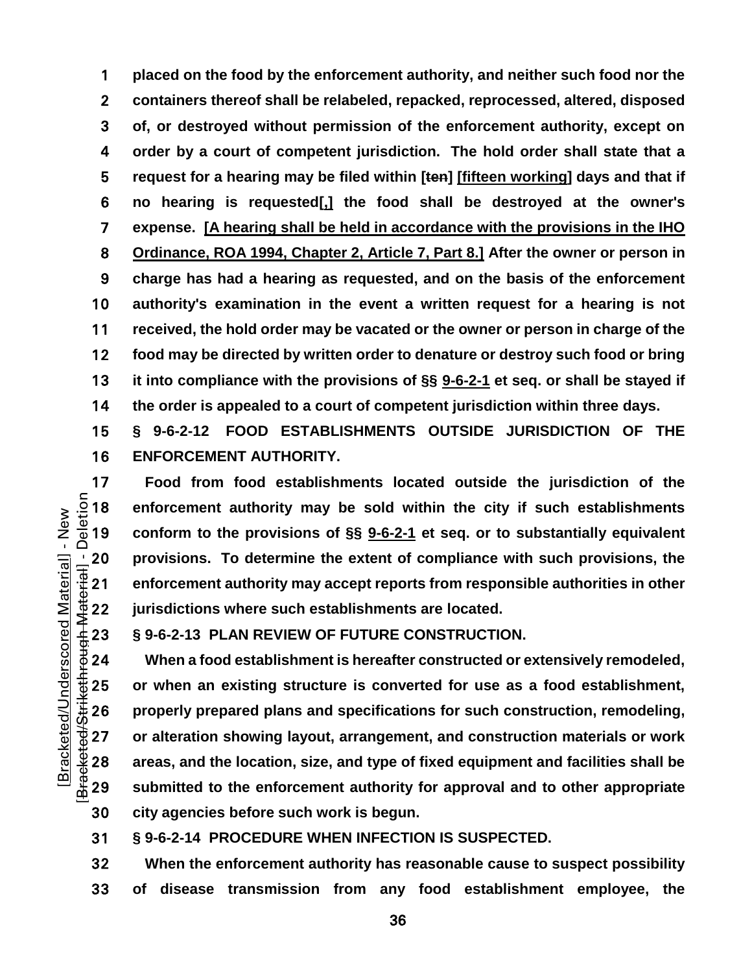**placed on the food by the enforcement authority, and neither such food nor the containers thereof shall be relabeled, repacked, reprocessed, altered, disposed of, or destroyed without permission of the enforcement authority, except on order by a court of competent jurisdiction. The hold order shall state that a request for a hearing may be filed within [ten] [fifteen working] days and that if no hearing is requested[,] the food shall be destroyed at the owner's expense. [A hearing shall be held in accordance with the provisions in the IHO Ordinance, ROA 1994, Chapter 2, Article 7, Part 8.] After the owner or person in charge has had a hearing as requested, and on the basis of the enforcement authority's examination in the event a written request for a hearing is not received, the hold order may be vacated or the owner or person in charge of the food may be directed by written order to denature or destroy such food or bring it into compliance with the provisions of §§ 9-6-2-1 et seq. or shall be stayed if the order is appealed to a court of competent jurisdiction within three days.**

**§ 9-6-2-12 FOOD ESTABLISHMENTS OUTSIDE JURISDICTION OF THE ENFORCEMENT AUTHORITY.**

**Food from food establishments located outside the jurisdiction of the**<br>  $\frac{5}{2}$  18 **enforcement authority may be sold within the city if such establishments**<br>  $\frac{5}{2}$  19 **conform to the provisions of §§** <u>9-6-2-1</u> **enforcement authority may be sold within the city if such establishments conform to the provisions of §§ 9-6-2-1 et seq. or to substantially equivalent**  Provisions. To determine the extent of compliance with such provisions, the<br>
article enforcement authority may accept reports from responsible authorities in other<br>
get 22 prisdictions where such establishments are locate **enforcement authority may accept reports from responsible authorities in other**  jurisdictions where such establishments are located.

**§ 9-6-2-13 PLAN REVIEW OF FUTURE CONSTRUCTION.**

**When a food establishment is hereafter constructed or extensively remodeled,**  <del>1</del><br>
25 or when an existing structure is converted for use as a food establishment,<br>
26 properly prepared plans and specifications for such construction, remodeling,<br>
27 or alteration showing layout, arrangement, and cons **properly prepared plans and specifications for such construction, remodeling, or alteration showing layout, arrangement, and construction materials or work areas, and the location, size, and type of fixed equipment and facilities shall be submitted to the enforcement authority for approval and to other appropriate city agencies before such work is begun.**

**§ 9-6-2-14 PROCEDURE WHEN INFECTION IS SUSPECTED.**

**When the enforcement authority has reasonable cause to suspect possibility of disease transmission from any food establishment employee, the**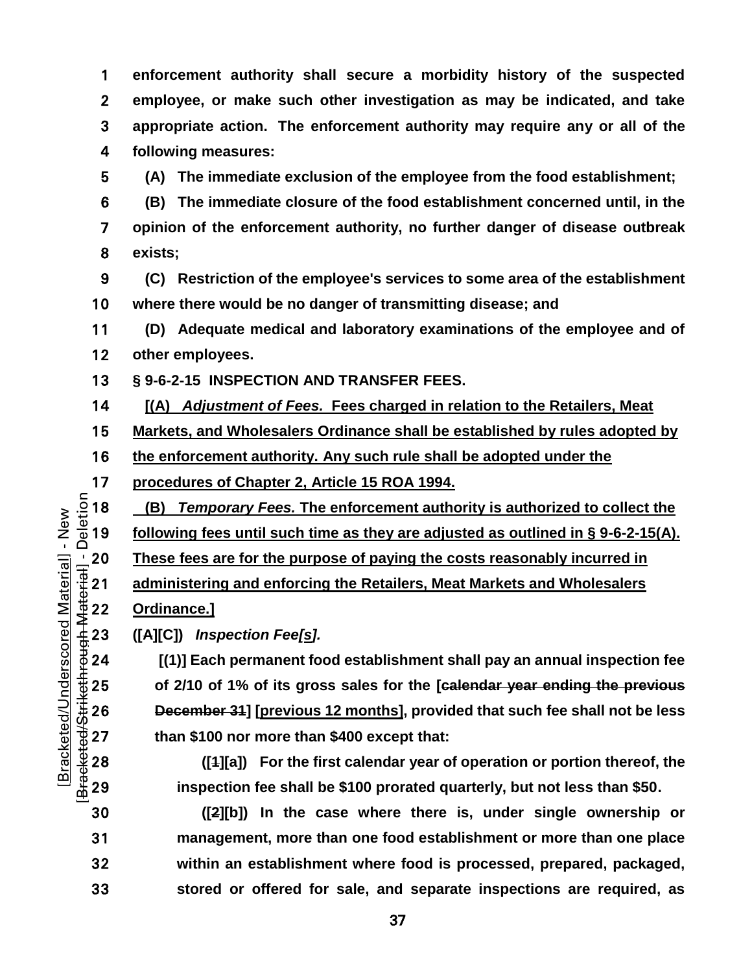**enforcement authority shall secure a morbidity history of the suspected employee, or make such other investigation as may be indicated, and take appropriate action. The enforcement authority may require any or all of the following measures:**

**(A) The immediate exclusion of the employee from the food establishment;**

**(B) The immediate closure of the food establishment concerned until, in the opinion of the enforcement authority, no further danger of disease outbreak exists;**

**(C) Restriction of the employee's services to some area of the establishment where there would be no danger of transmitting disease; and**

**(D) Adequate medical and laboratory examinations of the employee and of other employees.**

**§ 9-6-2-15 INSPECTION AND TRANSFER FEES.**

**[(A)** *Adjustment of Fees.* **Fees charged in relation to the Retailers, Meat** 

**Markets, and Wholesalers Ordinance shall be established by rules adopted by** 

**the enforcement authority. Any such rule shall be adopted under the** 

17 procedures of Chapter 2, Article 15 ROA 1994.<br>  $\frac{5}{9}$  18 (B) Temporary Fees. The enforcement authors<br>  $\frac{1}{9}$  19 following fees until such time as they are adjus **(B)** *Temporary Fees.* **The enforcement authority is authorized to collect the** 

following fees until such time as they are adjusted as outlined in § 9-6-2-15(A).

**administering and enforcing the Retailers, Meat Markets and Wholesalers**

**Ordinance.]** 

**([A][C])** *Inspection Fee[s].*

<u><sup>1</sup>/20 These fees are for the purpose of paying the costs reasonably incurred in<br>
designed in administering and enforcing the Retailers, Meat Markets and Wholesalers<br>  $\frac{4}{3}$  22 Ordinance.]<br>
4 23 ([A][C]) *Inspection F</u>* **[(1)] Each permanent food establishment shall pay an annual inspection fee**  of 2/10 of 1% of its gross sales for the [calendar year ending the previous<br>  $\begin{array}{ll}\n\text{4.26} & \text{December 34} \\
\text{4.30} & \text{December 34} \\
\text{4.41} & \text{Number 35} \\
\text{4.52} & \text{9}\n\end{array}$  ([4][a]) For the first calendar year of operation or portion **December 31] [previous 12 months], provided that such fee shall not be less than \$100 nor more than \$400 except that:**

**([1][a]) For the first calendar year of operation or portion thereof, the inspection fee shall be \$100 prorated quarterly, but not less than \$50.**

**([2][b]) In the case where there is, under single ownership or management, more than one food establishment or more than one place within an establishment where food is processed, prepared, packaged, stored or offered for sale, and separate inspections are required, as**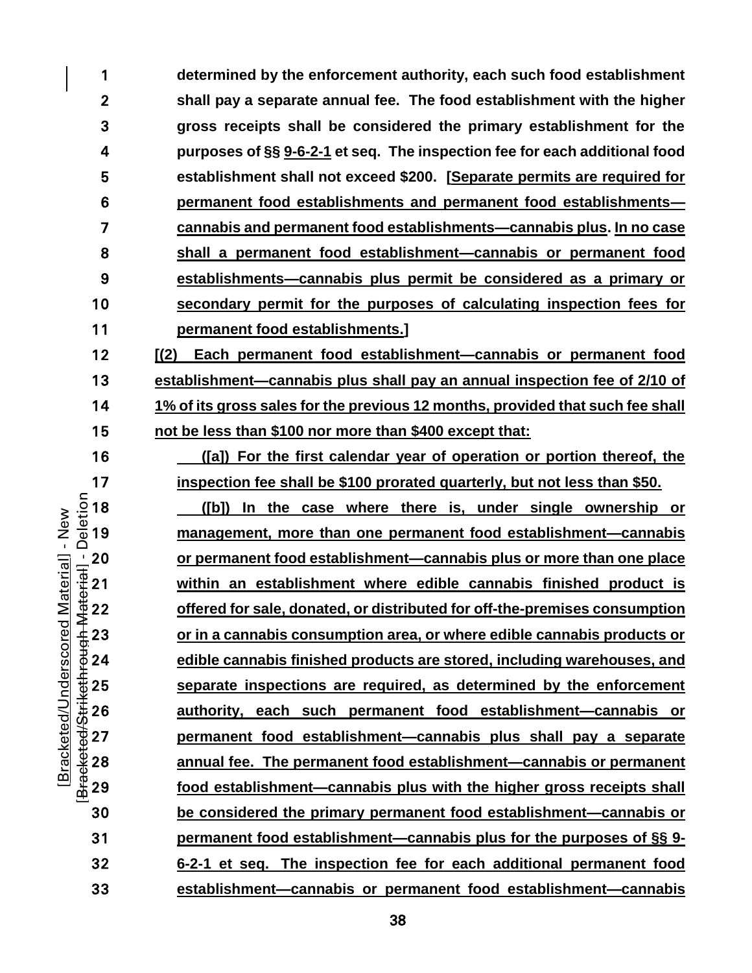**determined by the enforcement authority, each such food establishment shall pay a separate annual fee. The food establishment with the higher gross receipts shall be considered the primary establishment for the purposes of §§ 9-6-2-1 et seq. The inspection fee for each additional food establishment shall not exceed \$200. [Separate permits are required for permanent food establishments and permanent food establishments— cannabis and permanent food establishments—cannabis plus. In no case shall a permanent food establishment—cannabis or permanent food establishments—cannabis plus permit be considered as a primary or secondary permit for the purposes of calculating inspection fees for permanent food establishments.]**

**[(2) Each permanent food establishment—cannabis or permanent food establishment—cannabis plus shall pay an annual inspection fee of 2/10 of 1% of its gross sales for the previous 12 months, provided that such fee shall not be less than \$100 nor more than \$400 except that:**

**([a]) For the first calendar year of operation or portion thereof, the inspection fee shall be \$100 prorated quarterly, but not less than \$50.**

**([b]) In the case where there is, under single ownership or management, more than one permanent food establishment—cannabis** <u>20</u> **or permanent food establishment—cannabis plus or more than one place**<br>
21 **or in a metablishment where edible cannabis finished product is<br>
22 <b>offered for sale, donated, or distributed for off-the-premises consumpt within an establishment where edible cannabis finished product is offered for sale, donated, or distributed for off-the-premises consumption or in a cannabis consumption area, or where edible cannabis products or edible cannabis finished products are stored, including warehouses, and Example 125**<br> **Separate inspections are required, as determined by the enforcement**<br>  $\frac{3}{4}$ <br> **26**<br> **Separate 127**<br> **Separate 128**<br> **Separate 28**<br> **Separate 28**<br> **Separate 28**<br> **Separate 28**<br> **Separate 28**<br> **Separate 29 authority, each such permanent food establishment—cannabis or permanent food establishment—cannabis plus shall pay a separate annual fee. The permanent food establishment—cannabis or permanent food establishment—cannabis plus with the higher gross receipts shall be considered the primary permanent food establishment—cannabis or permanent food establishment—cannabis plus for the purposes of §§ 9- 6-2-1 et seq. The inspection fee for each additional permanent food establishment—cannabis or permanent food establishment—cannabis**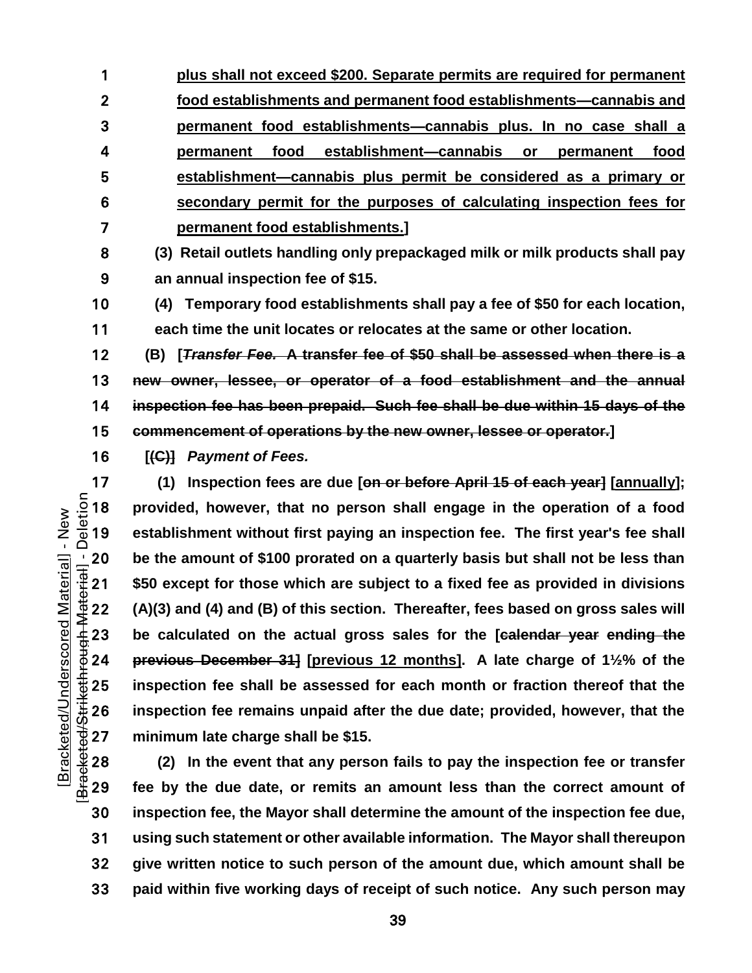**plus shall not exceed \$200. Separate permits are required for permanent food establishments and permanent food establishments—cannabis and permanent food establishments—cannabis plus. In no case shall a permanent food establishment—cannabis or permanent food establishment—cannabis plus permit be considered as a primary or secondary permit for the purposes of calculating inspection fees for permanent food establishments.]**

**(3) Retail outlets handling only prepackaged milk or milk products shall pay an annual inspection fee of \$15.**

**(4) Temporary food establishments shall pay a fee of \$50 for each location, each time the unit locates or relocates at the same or other location.** 

**(B) [***Transfer Fee.* **A transfer fee of \$50 shall be assessed when there is a new owner, lessee, or operator of a food establishment and the annual inspection fee has been prepaid. Such fee shall be due within 15 days of the commencement of operations by the new owner, lessee or operator.]**

**[(C)]** *Payment of Fees.*

17 (1) Inspection fees are due [on or before April 15 of each year] [annually];<br>  $\frac{5}{2}$  18 provided, however, that no person shall engage in the operation of a food<br>  $\frac{1}{2}$  19 establishment without first paying an in **provided, however, that no person shall engage in the operation of a food establishment without first paying an inspection fee. The first year's fee shall**  20 be the amount of \$100 prorated on a quarterly basis but shall not be less than<br>  $\frac{1}{3}$  21 \$50 except for those which are subject to a fixed fee as provided in divisions<br>  $\frac{1}{4}$  22 (A)(3) and (4) and (B) of this s \$50 except for those which are subject to a fixed fee as provided in divisions **(A)(3) and (4) and (B) of this section. Thereafter, fees based on gross sales will be calculated on the actual gross sales for the [calendar year ending the previous December 31] [previous 12 months]. A late charge of 1½% of the**  the inspection fee shall be assessed for each month or fraction thereof that the<br>  $\frac{1}{20}$  inspection fee remains unpaid after the due date; provided, however, that the<br>  $\frac{1}{20}$  a minimum late charge shall be \$15.<br>
( **inspection fee remains unpaid after the due date; provided, however, that the minimum late charge shall be \$15.**

**(2) In the event that any person fails to pay the inspection fee or transfer**  fee by the due date, or remits an amount less than the correct amount of **inspection fee, the Mayor shall determine the amount of the inspection fee due, using such statement or other available information. The Mayor shall thereupon give written notice to such person of the amount due, which amount shall be paid within five working days of receipt of such notice. Any such person may**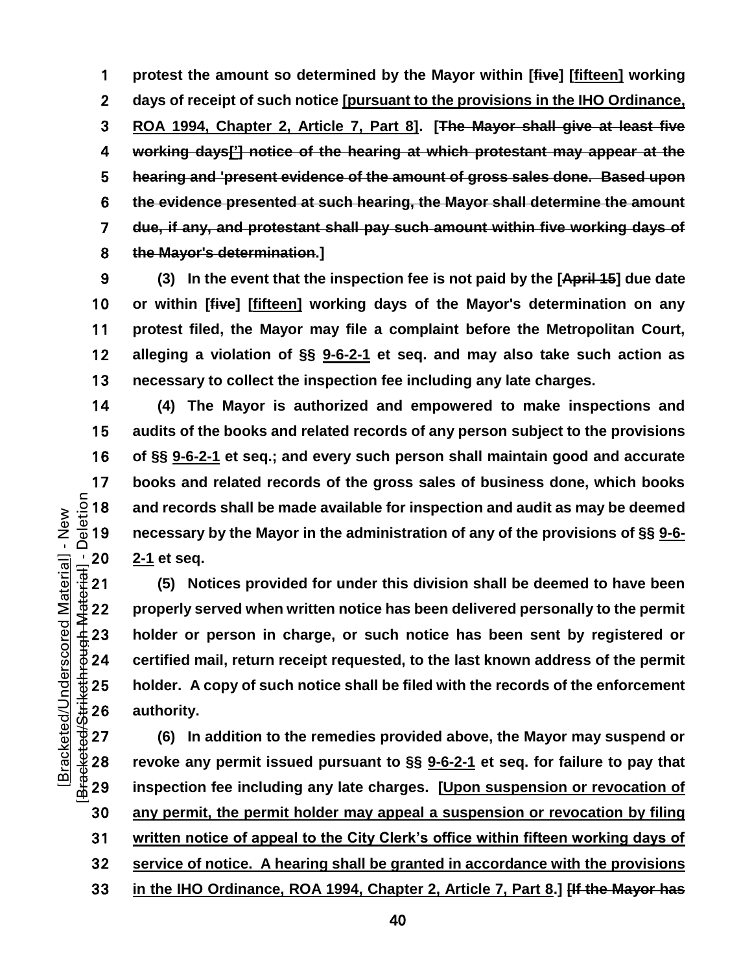**protest the amount so determined by the Mayor within [five] [fifteen] working days of receipt of such notice [pursuant to the provisions in the IHO Ordinance, ROA 1994, Chapter 2, Article 7, Part 8]. [The Mayor shall give at least five working days['] notice of the hearing at which protestant may appear at the hearing and 'present evidence of the amount of gross sales done. Based upon the evidence presented at such hearing, the Mayor shall determine the amount due, if any, and protestant shall pay such amount within five working days of the Mayor's determination.]**

**(3) In the event that the inspection fee is not paid by the [April 15] due date or within [five] [fifteen] working days of the Mayor's determination on any protest filed, the Mayor may file a complaint before the Metropolitan Court, alleging a violation of §§ 9-6-2-1 et seq. and may also take such action as necessary to collect the inspection fee including any late charges.**

**(4) The Mayor is authorized and empowered to make inspections and audits of the books and related records of any person subject to the provisions of §§ 9-6-2-1 et seq.; and every such person shall maintain good and accurate**  17 books and related records of the gross sales of business done, which books<br>  $\frac{5}{42}$  18 and records shall be made available for inspection and audit as may be deemed<br>  $\frac{5}{42}$  19 necessary by the Mayor in the admin and records shall be made available for inspection and audit as may be deemed **necessary by the Mayor in the administration of any of the provisions of §§ 9-6-**

 $\frac{1}{4}$ <br>  $\frac{1}{4}$ <br>  $\frac{1}{4}$ <br>  $\frac{2}{4}$ <br>  $\frac{2}{4}$ <br>  $\frac{2}{4}$ <br>  $\frac{2}{4}$ <br>  $\frac{2}{4}$ <br>  $\frac{2}{4}$ <br>  $\frac{2}{4}$ <br>  $\frac{2}{4}$ <br>  $\frac{2}{4}$ <br>  $\frac{2}{4}$ <br>  $\frac{2}{4}$ <br>  $\frac{2}{4}$ <br>  $\frac{2}{4}$ <br>  $\frac{2}{4}$ <br>  $\frac{2}{4}$ <br>  $\frac{2}{4}$ <br>  $\frac{2}{4}$ <br> **(5) Notices provided for under this division shall be deemed to have been properly served when written notice has been delivered personally to the permit holder or person in charge, or such notice has been sent by registered or certified mail, return receipt requested, to the last known address of the permit**  authority.

the 25 holder. A copy of such notice shall be filed with the records of the enforcement<br>  $\frac{11}{30}$  26 authority.<br>
26 authority.<br>
27 (6) In addition to the remedies provided above, the Mayor may suspend or<br>
28 revoke any **(6) In addition to the remedies provided above, the Mayor may suspend or revoke any permit issued pursuant to §§ 9-6-2-1 et seq. for failure to pay that inspection fee including any late charges. [Upon suspension or revocation of any permit, the permit holder may appeal a suspension or revocation by filing written notice of appeal to the City Clerk's office within fifteen working days of service of notice. A hearing shall be granted in accordance with the provisions in the IHO Ordinance, ROA 1994, Chapter 2, Article 7, Part 8.] [If the Mayor has**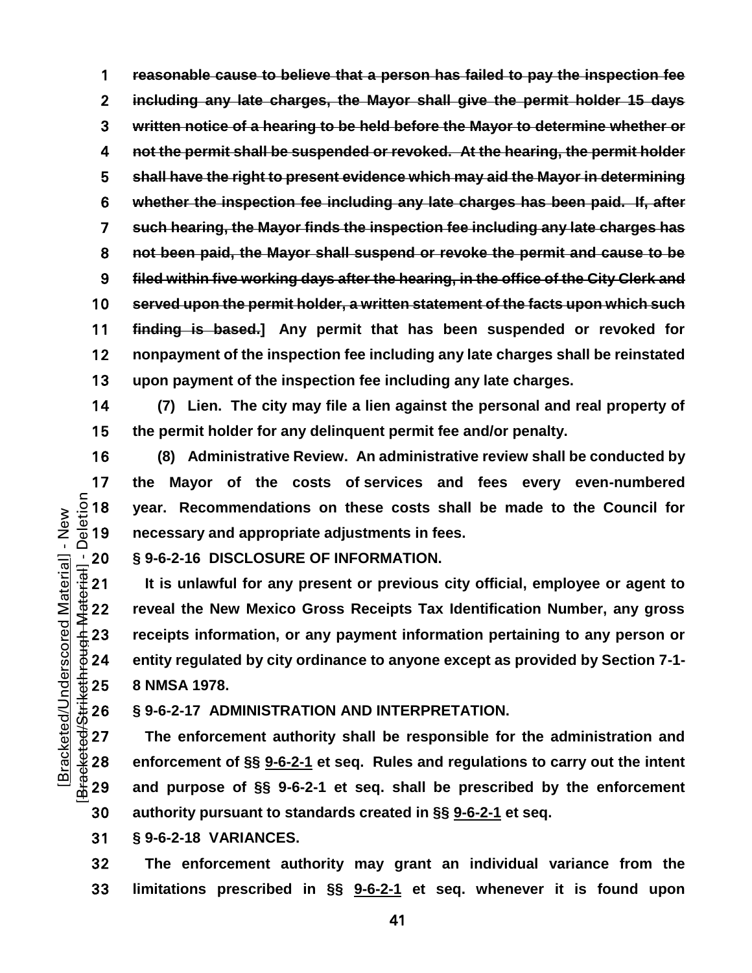**reasonable cause to believe that a person has failed to pay the inspection fee including any late charges, the Mayor shall give the permit holder 15 days written notice of a hearing to be held before the Mayor to determine whether or not the permit shall be suspended or revoked. At the hearing, the permit holder shall have the right to present evidence which may aid the Mayor in determining whether the inspection fee including any late charges has been paid. If, after such hearing, the Mayor finds the inspection fee including any late charges has not been paid, the Mayor shall suspend or revoke the permit and cause to be filed within five working days after the hearing, in the office of the City Clerk and served upon the permit holder, a written statement of the facts upon which such finding is based.] Any permit that has been suspended or revoked for nonpayment of the inspection fee including any late charges shall be reinstated upon payment of the inspection fee including any late charges.**

**(7) Lien. The city may file a lien against the personal and real property of the permit holder for any delinquent permit fee and/or penalty.**

**(8) Administrative Review. An administrative review shall be conducted by**  17 the Mayor of the costs of services and fees every even-numbered<br>  $\frac{5}{4}$  18 year. Recommendations on these costs shall be made to the Council for<br>  $\frac{1}{4}$  19 necessary and appropriate adjustments in fees. **year. Recommendations on these costs shall be made to the Council for necessary and appropriate adjustments in fees.**

<del>Providend</del> 20 § 9-6-2-16 DISCLOSURE OF INFORMATION.<br>
21 It is unlawful for any present or previous<br>
22 reveal the New Mexico Gross Receipts Tax<br>
23 receipts information, or any payment inform<br>
24 entity regulated by city **It is unlawful for any present or previous city official, employee or agent to**  reveal the New Mexico Gross Receipts Tax Identification Number, any gross receipts information, or any payment information pertaining to any person or **entity regulated by city ordinance to anyone except as provided by Section 7-1-**

**§ 9-6-2-17 ADMINISTRATION AND INTERPRETATION.**

 $+6.325$  8 NMSA 1978.<br>  $+26$  § 9-6-2-17 ADI<br>  $+6.327$  The enforce The enforcement authority shall be responsible for the administration and **enforcement of §§ 9-6-2-1 et seq. Rules and regulations to carry out the intent and purpose of §§ 9-6-2-1 et seq. shall be prescribed by the enforcement authority pursuant to standards created in §§ 9-6-2-1 et seq.**

**§ 9-6-2-18 VARIANCES.**

**The enforcement authority may grant an individual variance from the limitations prescribed in §§ 9-6-2-1 et seq. whenever it is found upon** 

<u>41 and 2001 and 2001 and 2001 and 2001 and 2001 and 2001 and 2001 and 2001 and 2001 and 2001 and 2001 and 200</u>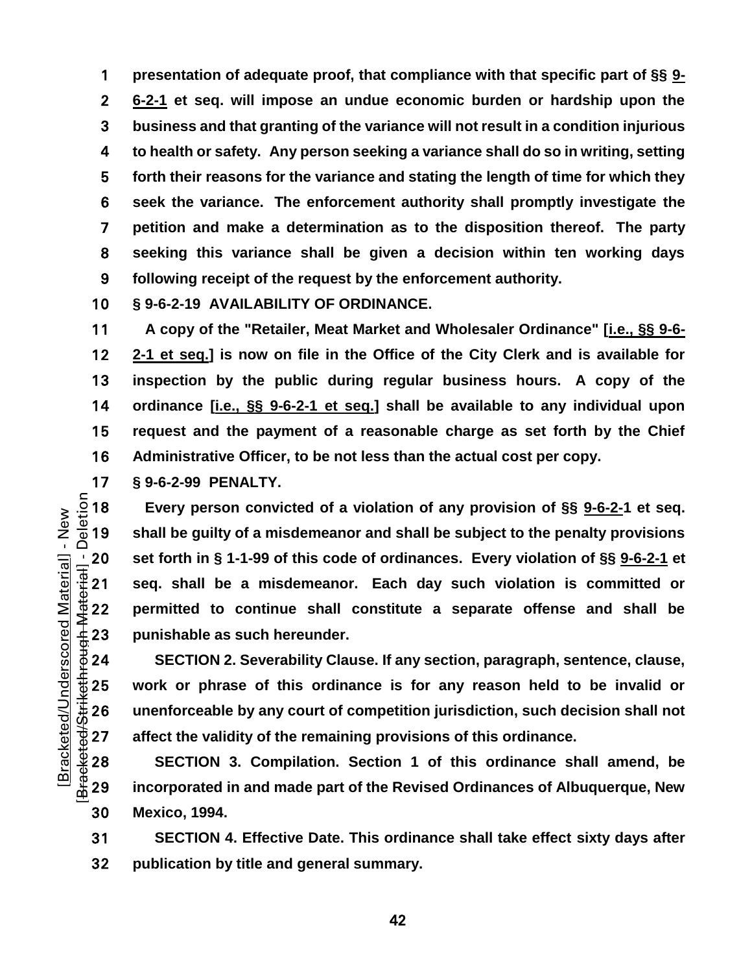**presentation of adequate proof, that compliance with that specific part of §§ [9-](https://codelibrary.amlegal.com/codes/albuquerque/latest/albuquerque_nm/0-0-0-11948#JD_9-6-2-1) [6-2-1](https://codelibrary.amlegal.com/codes/albuquerque/latest/albuquerque_nm/0-0-0-11948#JD_9-6-2-1) et seq. will impose an undue economic burden or hardship upon the business and that granting of the variance will not result in a condition injurious to health or safety. Any person seeking a variance shall do so in writing, setting forth their reasons for the variance and stating the length of time for which they seek the variance. The enforcement authority shall promptly investigate the petition and make a determination as to the disposition thereof. The party seeking this variance shall be given a decision within ten working days following receipt of the request by the enforcement authority.**

**§ 9-6-2-19 AVAILABILITY OF ORDINANCE.**

**A copy of the "Retailer, Meat Market and Wholesaler Ordinance" [i.e., §§ 9-6- 2-1 et seq.] is now on file in the Office of the City Clerk and is available for inspection by the public during regular business hours. A copy of the ordinance [i.e., §§ 9-6-2-1 et seq.] shall be available to any individual upon request and the payment of a reasonable charge as set forth by the Chief Administrative Officer, to be not less than the actual cost per copy.**

**§ 9-6-2-99 PENALTY.**<br> $\frac{5}{8}$  18 **Every person convi**ded 19 **shall be guilty of a mis** Every person convicted of a violation of any provision of §§ 9-6-2-1 et seg. **shall be guilty of a misdemeanor and shall be subject to the penalty provisions**   $\frac{1}{18}$  20 set forth in § 1-1-99 of this code of ordinances. Every violation of §§ <u>9-6-2-1</u> et <br>  $\frac{1}{45}$  21 seq. shall be a misdemeanor. Each day such violation is committed or permitted to continue shall constitu **seq. shall be a misdemeanor. Each day such violation is committed or permitted to continue shall constitute a separate offense and shall be punishable as such hereunder.**

**SECTION 2. Severability Clause. If any section, paragraph, sentence, clause,** work or phrase of this ordinance is for any reason held to be invalid or<br>  $\frac{1}{20}$  26 unenforceable by any court of competition jurisdiction, such decision shall not<br>  $\frac{1}{20}$  27 affect the validity of the remaining pr **unenforceable by any court of competition jurisdiction, such decision shall not affect the validity of the remaining provisions of this ordinance.** 

**SECTION 3. Compilation. Section 1 of this ordinance shall amend, be incorporated in and made part of the Revised Ordinances of Albuquerque, New Mexico, 1994.** 

**SECTION 4. Effective Date. This ordinance shall take effect sixty days after publication by title and general summary.**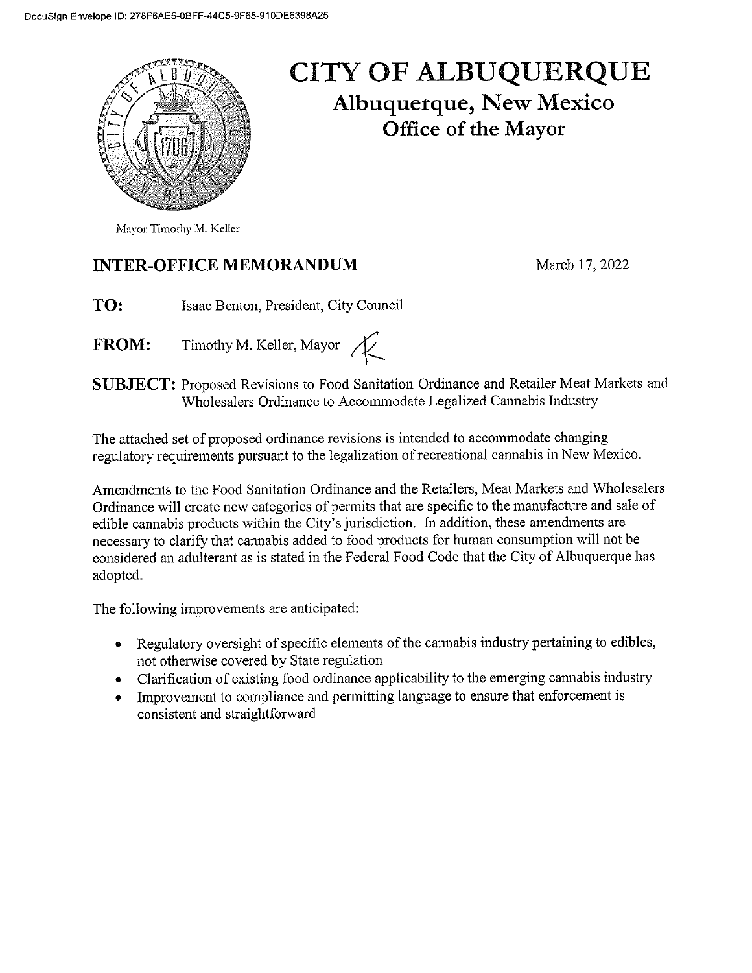

# **CITY OF ALBUQUERQUE Albuquerque, New Mexico** Office of the Mayor

## **INTER-OFFICE MEMORANDUM**

March 17, 2022

- TO: Isaac Benton, President, City Council
- Timothy M. Keller, Mayor  $\overline{\mathcal{K}}$ **FROM:**

**SUBJECT:** Proposed Revisions to Food Sanitation Ordinance and Retailer Meat Markets and Wholesalers Ordinance to Accommodate Legalized Cannabis Industry

The attached set of proposed ordinance revisions is intended to accommodate changing regulatory requirements pursuant to the legalization of recreational cannabis in New Mexico.

Amendments to the Food Sanitation Ordinance and the Retailers, Meat Markets and Wholesalers Ordinance will create new categories of permits that are specific to the manufacture and sale of edible cannabis products within the City's jurisdiction. In addition, these amendments are necessary to clarify that cannabis added to food products for human consumption will not be considered an adulterant as is stated in the Federal Food Code that the City of Albuquerque has adopted.

The following improvements are anticipated:

- Regulatory oversight of specific elements of the cannabis industry pertaining to edibles,  $\bullet$ not otherwise covered by State regulation
- Clarification of existing food ordinance applicability to the emerging cannabis industry  $\bullet$
- Improvement to compliance and permitting language to ensure that enforcement is  $\bullet$ consistent and straightforward

Mayor Timothy M. Keller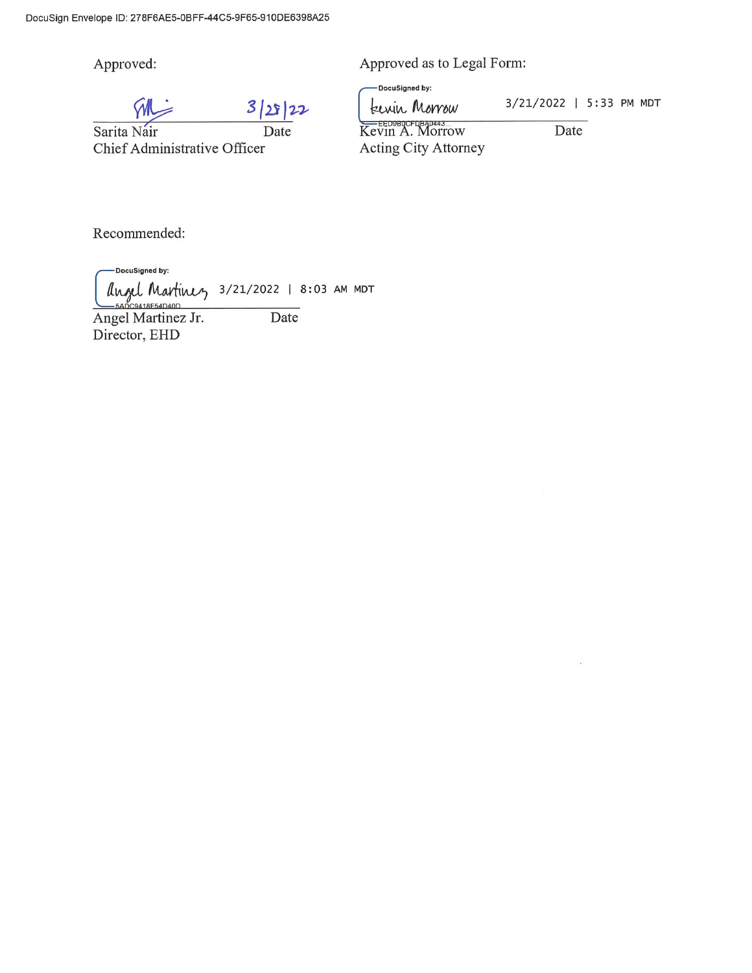Approved:

 $3|28|22$ 

Date Sarita Nair Chief Administrative Officer

Approved as to Legal Form:

DocuSigned by:

3/21/2022 | 5:33 PM MDT Lewin Morrow

Kevin A. Morrow Acting City Attorney

Date

Recommended:

-DocuSigned by: angel Martinez 3/21/2022 | 8:03 AM MDT 0419E54D40D Date

Angel Martinez Jr. Director, EHD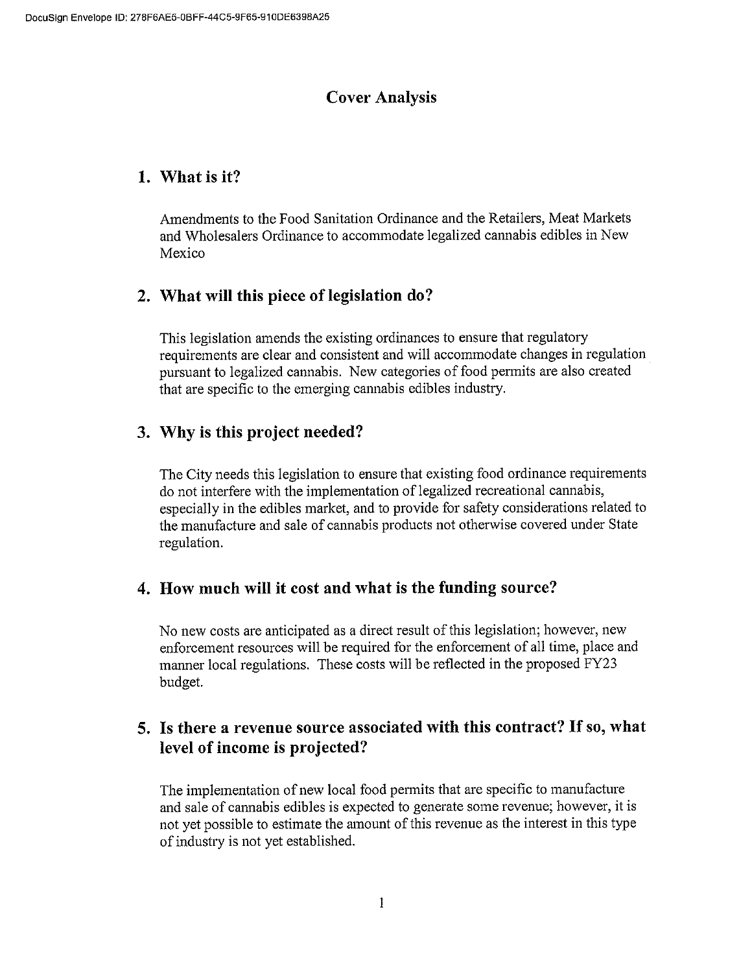#### **Cover Analysis**

#### 1. What is it?

Amendments to the Food Sanitation Ordinance and the Retailers, Meat Markets and Wholesalers Ordinance to accommodate legalized cannabis edibles in New Mexico

### 2. What will this piece of legislation do?

This legislation amends the existing ordinances to ensure that regulatory requirements are clear and consistent and will accommodate changes in regulation pursuant to legalized cannabis. New categories of food permits are also created that are specific to the emerging cannabis edibles industry.

#### 3. Why is this project needed?

The City needs this legislation to ensure that existing food ordinance requirements do not interfere with the implementation of legalized recreational cannabis, especially in the edibles market, and to provide for safety considerations related to the manufacture and sale of cannabis products not otherwise covered under State regulation.

#### 4. How much will it cost and what is the funding source?

No new costs are anticipated as a direct result of this legislation; however, new enforcement resources will be required for the enforcement of all time, place and manner local regulations. These costs will be reflected in the proposed FY23 budget.

#### 5. Is there a revenue source associated with this contract? If so, what level of income is projected?

The implementation of new local food permits that are specific to manufacture and sale of cannabis edibles is expected to generate some revenue; however, it is not yet possible to estimate the amount of this revenue as the interest in this type of industry is not yet established.